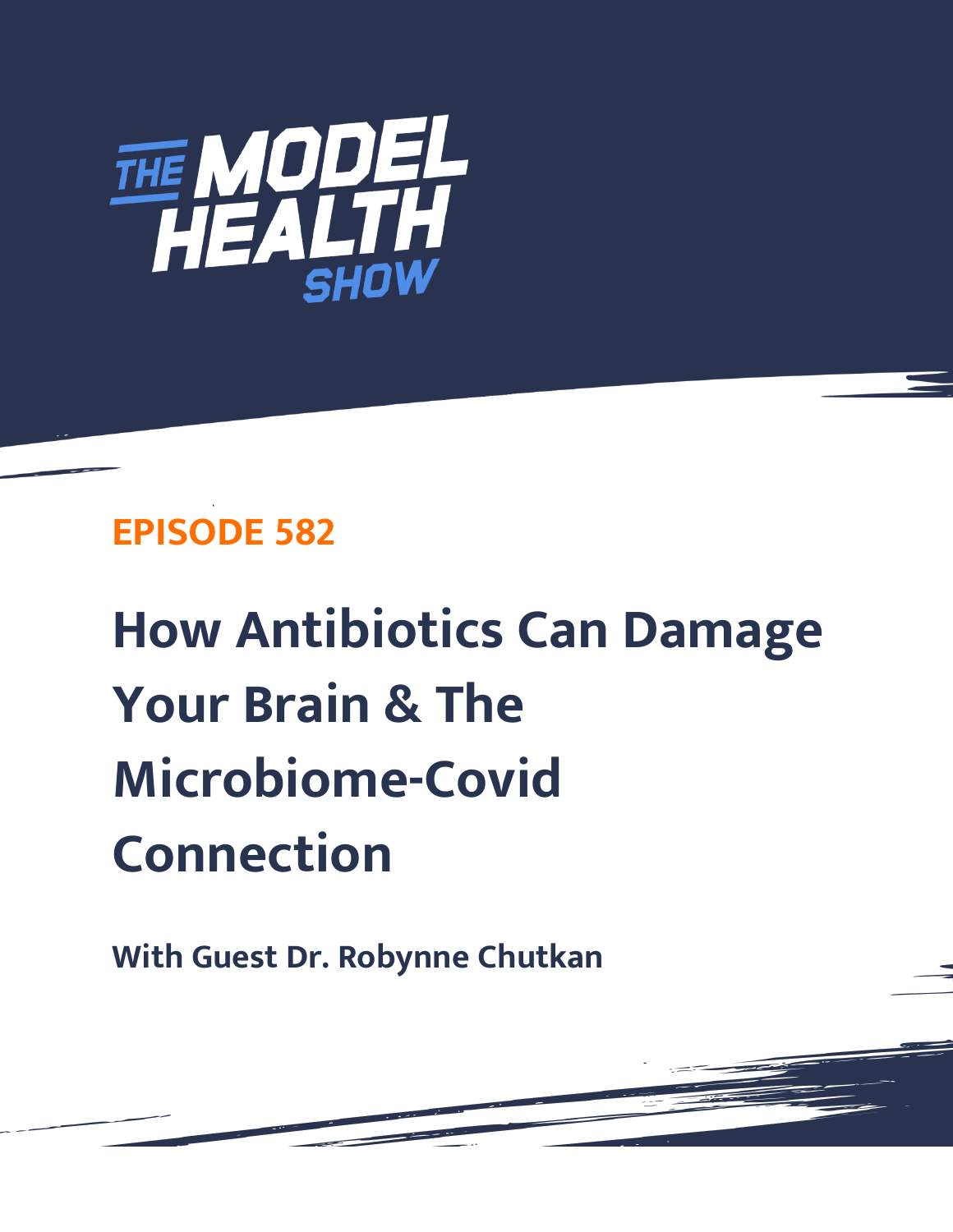

## **EPISODE 582**

# **How Antibiotics Can Damage Your Brain & The Microbiome-Covid Connection**

**With Guest Dr. Robynne Chutkan**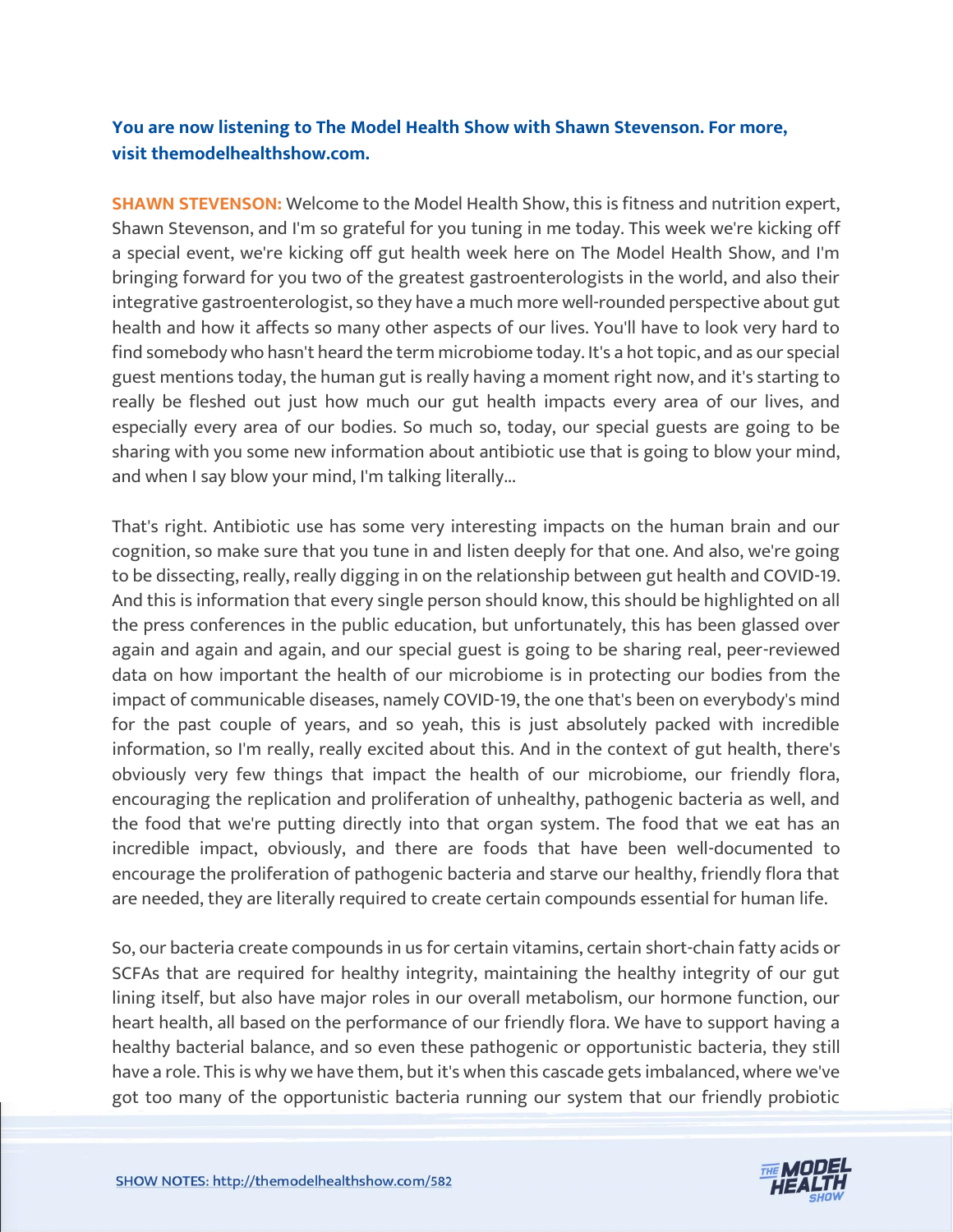### **You are now listening to The Model Health Show with Shawn Stevenson. For more, visit themodelhealthshow.com.**

**SHAWN STEVENSON:** Welcome to the Model Health Show, this is fitness and nutrition expert, Shawn Stevenson, and I'm so grateful for you tuning in me today. This week we're kicking off a special event, we're kicking off gut health week here on The Model Health Show, and I'm bringing forward for you two of the greatest gastroenterologists in the world, and also their integrative gastroenterologist, so they have a much more well-rounded perspective about gut health and how it affects so many other aspects of our lives. You'll have to look very hard to find somebody who hasn't heard the term microbiome today. It's a hot topic, and as our special guest mentions today, the human gut is really having a moment right now, and it's starting to really be fleshed out just how much our gut health impacts every area of our lives, and especially every area of our bodies. So much so, today, our special guests are going to be sharing with you some new information about antibiotic use that is going to blow your mind, and when I say blow your mind, I'm talking literally...

That's right. Antibiotic use has some very interesting impacts on the human brain and our cognition, so make sure that you tune in and listen deeply for that one. And also, we're going to be dissecting, really, really digging in on the relationship between gut health and COVID-19. And this is information that every single person should know, this should be highlighted on all the press conferences in the public education, but unfortunately, this has been glassed over again and again and again, and our special guest is going to be sharing real, peer-reviewed data on how important the health of our microbiome is in protecting our bodies from the impact of communicable diseases, namely COVID-19, the one that's been on everybody's mind for the past couple of years, and so yeah, this is just absolutely packed with incredible information, so I'm really, really excited about this. And in the context of gut health, there's obviously very few things that impact the health of our microbiome, our friendly flora, encouraging the replication and proliferation of unhealthy, pathogenic bacteria as well, and the food that we're putting directly into that organ system. The food that we eat has an incredible impact, obviously, and there are foods that have been well-documented to encourage the proliferation of pathogenic bacteria and starve our healthy, friendly flora that are needed, they are literally required to create certain compounds essential for human life.

So, our bacteria create compounds in us for certain vitamins, certain short-chain fatty acids or SCFAs that are required for healthy integrity, maintaining the healthy integrity of our gut lining itself, but also have major roles in our overall metabolism, our hormone function, our heart health, all based on the performance of our friendly flora. We have to support having a healthy bacterial balance, and so even these pathogenic or opportunistic bacteria, they still have a role. This is why we have them, but it's when this cascade gets imbalanced, where we've [got too many of the opportunistic bacteria running our system that our friendly probiotic](https://themodelhealthshow.com/dr-robynne-chutkan/) 

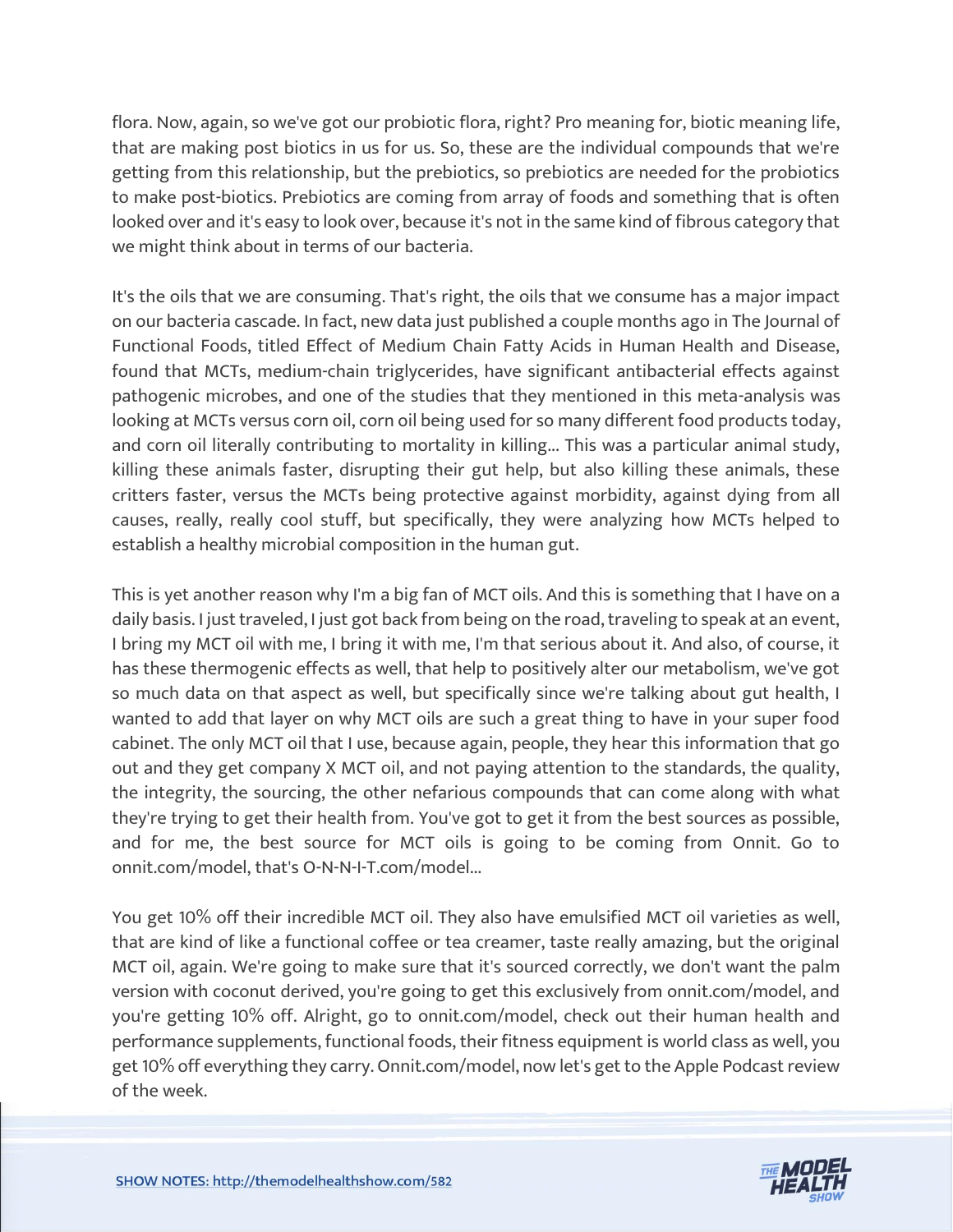flora. Now, again, so we've got our probiotic flora, right? Pro meaning for, biotic meaning life, that are making post biotics in us for us. So, these are the individual compounds that we're getting from this relationship, but the prebiotics, so prebiotics are needed for the probiotics to make post-biotics. Prebiotics are coming from array of foods and something that is often looked over and it's easy to look over, because it's not in the same kind of fibrous category that we might think about in terms of our bacteria.

It's the oils that we are consuming. That's right, the oils that we consume has a major impact on our bacteria cascade. In fact, new data just published a couple months ago in The Journal of Functional Foods, titled Effect of Medium Chain Fatty Acids in Human Health and Disease, found that MCTs, medium-chain triglycerides, have significant antibacterial effects against pathogenic microbes, and one of the studies that they mentioned in this meta-analysis was looking at MCTs versus corn oil, corn oil being used for so many different food products today, and corn oil literally contributing to mortality in killing... This was a particular animal study, killing these animals faster, disrupting their gut help, but also killing these animals, these critters faster, versus the MCTs being protective against morbidity, against dying from all causes, really, really cool stuff, but specifically, they were analyzing how MCTs helped to establish a healthy microbial composition in the human gut.

This is yet another reason why I'm a big fan of MCT oils. And this is something that I have on a daily basis. I just traveled, I just got back from being on the road, traveling to speak at an event, I bring my MCT oil with me, I bring it with me, I'm that serious about it. And also, of course, it has these thermogenic effects as well, that help to positively alter our metabolism, we've got so much data on that aspect as well, but specifically since we're talking about gut health, I wanted to add that layer on why MCT oils are such a great thing to have in your super food cabinet. The only MCT oil that I use, because again, people, they hear this information that go out and they get company X MCT oil, and not paying attention to the standards, the quality, the integrity, the sourcing, the other nefarious compounds that can come along with what they're trying to get their health from. You've got to get it from the best sources as possible, and for me, the best source for MCT oils is going to be coming from Onnit. Go to onnit.com/model, that's O-N-N-I-T.com/model...

You get 10% off their incredible MCT oil. They also have emulsified MCT oil varieties as well, that are kind of like a functional coffee or tea creamer, taste really amazing, but the original MCT oil, again. We're going to make sure that it's sourced correctly, we don't want the palm version with coconut derived, you're going to get this exclusively from onnit.com/model, and you're getting 10% off. Alright, go to onnit.com/model, check out their human health and performance supplements, functional foods, their fitness equipment is world class as well, you get 10% off everything they carry. Onnit.com/model, now let's get to the Apple Podcast review of the week.

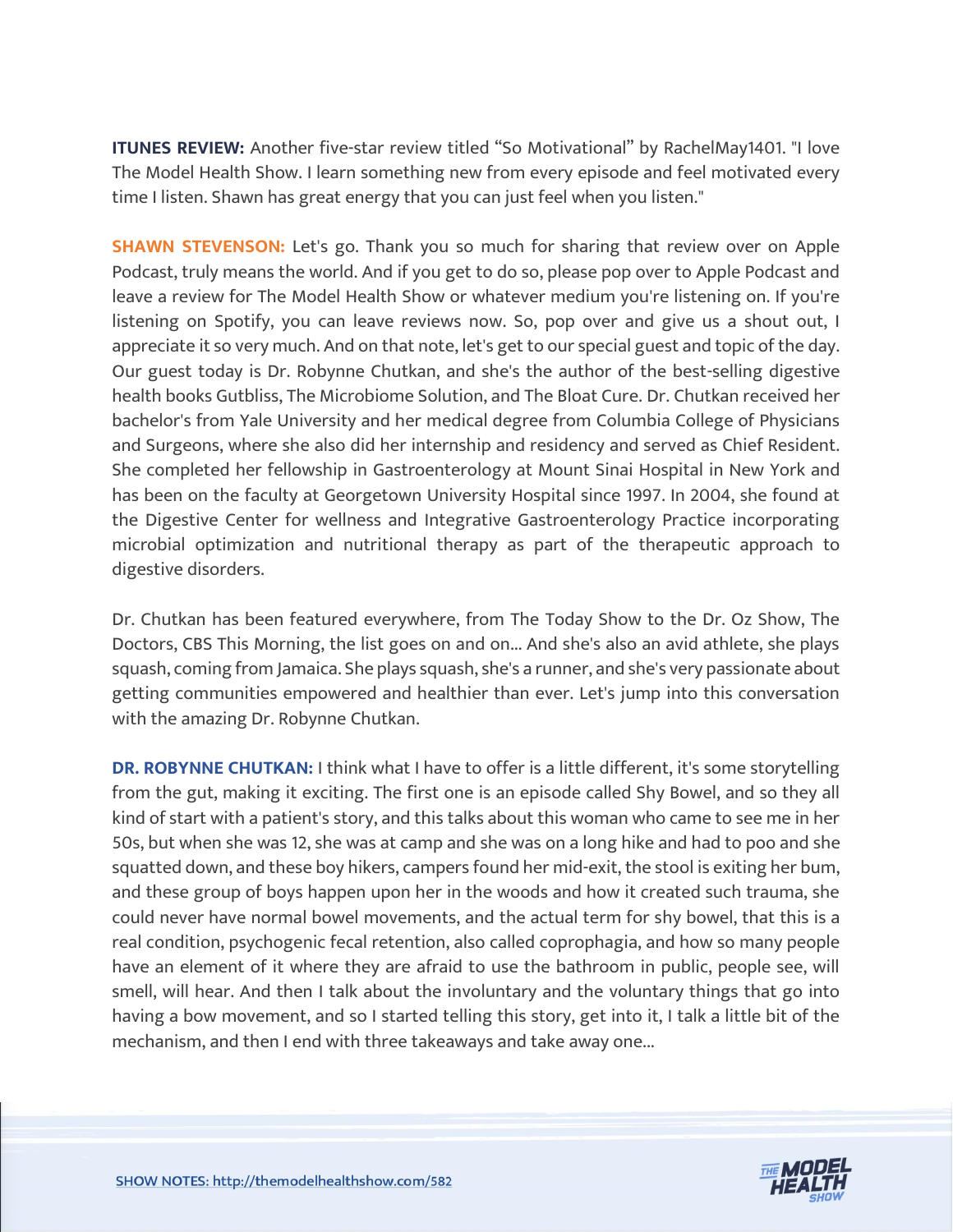**ITUNES REVIEW:** Another five-star review titled "So Motivational" by RachelMay1401. "I love The Model Health Show. I learn something new from every episode and feel motivated every time I listen. Shawn has great energy that you can just feel when you listen."

**SHAWN STEVENSON:** Let's go. Thank you so much for sharing that review over on Apple Podcast, truly means the world. And if you get to do so, please pop over to Apple Podcast and leave a review for The Model Health Show or whatever medium you're listening on. If you're listening on Spotify, you can leave reviews now. So, pop over and give us a shout out, I appreciate it so very much. And on that note, let's get to our special guest and topic of the day. Our guest today is Dr. Robynne Chutkan, and she's the author of the best-selling digestive health books Gutbliss, The Microbiome Solution, and The Bloat Cure. Dr. Chutkan received her bachelor's from Yale University and her medical degree from Columbia College of Physicians and Surgeons, where she also did her internship and residency and served as Chief Resident. She completed her fellowship in Gastroenterology at Mount Sinai Hospital in New York and has been on the faculty at Georgetown University Hospital since 1997. In 2004, she found at the Digestive Center for wellness and Integrative Gastroenterology Practice incorporating microbial optimization and nutritional therapy as part of the therapeutic approach to digestive disorders.

Dr. Chutkan has been featured everywhere, from The Today Show to the Dr. Oz Show, The Doctors, CBS This Morning, the list goes on and on... And she's also an avid athlete, she plays squash, coming from Jamaica. She plays squash, she's a runner, and she's very passionate about getting communities empowered and healthier than ever. Let's jump into this conversation with the amazing Dr. Robynne Chutkan.

**DR. ROBYNNE CHUTKAN:** I think what I have to offer is a little different, it's some storytelling from the gut, making it exciting. The first one is an episode called Shy Bowel, and so they all kind of start with a patient's story, and this talks about this woman who came to see me in her 50s, but when she was 12, she was at camp and she was on a long hike and had to poo and she squatted down, and these boy hikers, campers found her mid-exit, the stool is exiting her bum, and these group of boys happen upon her in the woods and how it created such trauma, she could never have normal bowel movements, and the actual term for shy bowel, that this is a real condition, psychogenic fecal retention, also called coprophagia, and how so many people have an element of it where they are afraid to use the bathroom in public, people see, will smell, will hear. And then I talk about the involuntary and the voluntary things that go into having a bow movement, and so I started telling this story, get into it, I talk a little bit of the mechanism, and then I end with three takeaways and take away one...

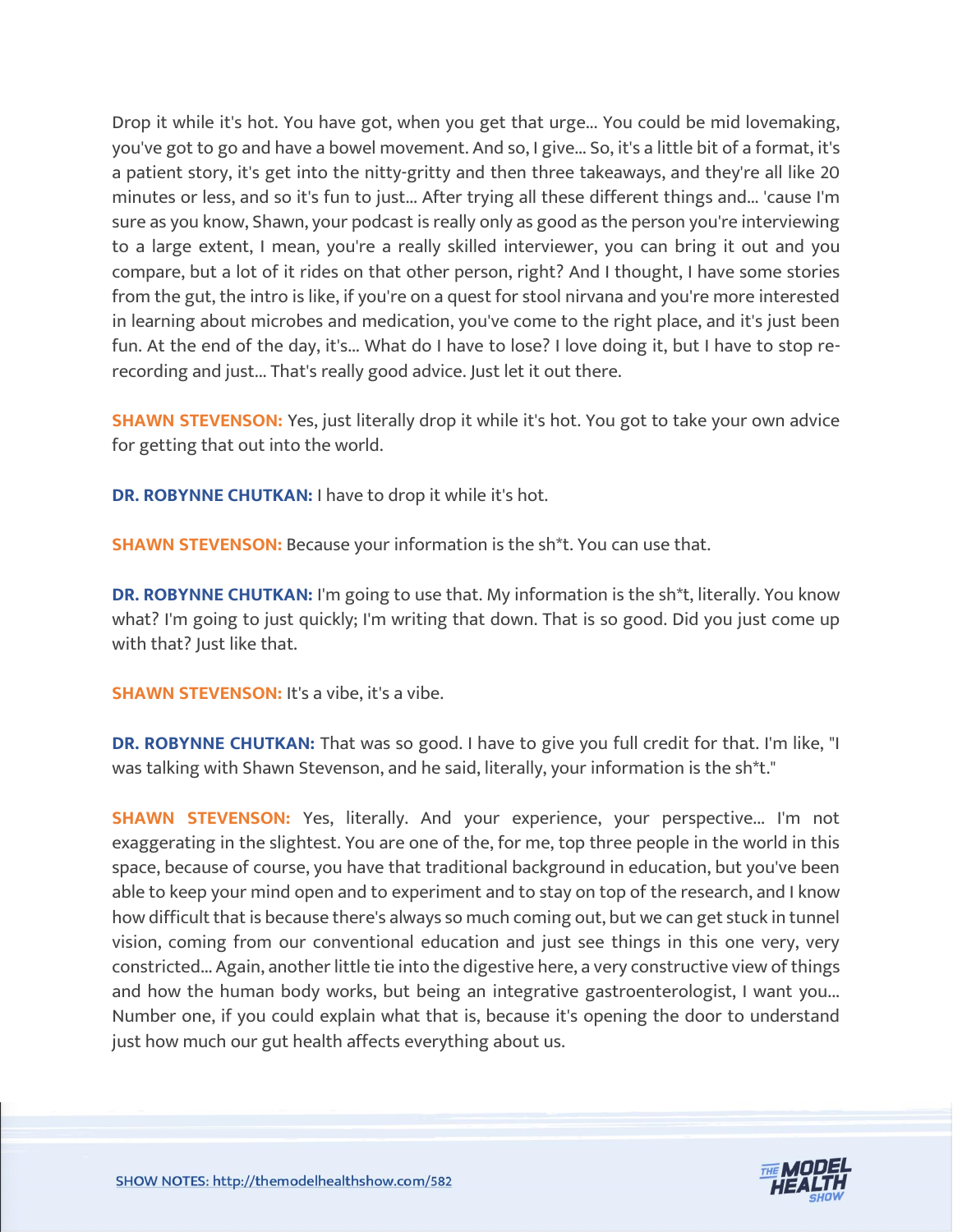Drop it while it's hot. You have got, when you get that urge... You could be mid lovemaking, you've got to go and have a bowel movement. And so, I give... So, it's a little bit of a format, it's a patient story, it's get into the nitty-gritty and then three takeaways, and they're all like 20 minutes or less, and so it's fun to just... After trying all these different things and... 'cause I'm sure as you know, Shawn, your podcast is really only as good as the person you're interviewing to a large extent, I mean, you're a really skilled interviewer, you can bring it out and you compare, but a lot of it rides on that other person, right? And I thought, I have some stories from the gut, the intro is like, if you're on a quest for stool nirvana and you're more interested in learning about microbes and medication, you've come to the right place, and it's just been fun. At the end of the day, it's... What do I have to lose? I love doing it, but I have to stop rerecording and just... That's really good advice. Just let it out there.

**SHAWN STEVENSON:** Yes, just literally drop it while it's hot. You got to take your own advice for getting that out into the world.

**DR. ROBYNNE CHUTKAN:** I have to drop it while it's hot.

**SHAWN STEVENSON:** Because your information is the sh\*t. You can use that.

**DR. ROBYNNE CHUTKAN:** I'm going to use that. My information is the sh\*t, literally. You know what? I'm going to just quickly; I'm writing that down. That is so good. Did you just come up with that? Just like that.

**SHAWN STEVENSON:** It's a vibe, it's a vibe.

**DR. ROBYNNE CHUTKAN:** That was so good. I have to give you full credit for that. I'm like, "I was talking with Shawn Stevenson, and he said, literally, your information is the sh\*t."

**SHAWN STEVENSON:** Yes, literally. And your experience, your perspective... I'm not exaggerating in the slightest. You are one of the, for me, top three people in the world in this space, because of course, you have that traditional background in education, but you've been able to keep your mind open and to experiment and to stay on top of the research, and I know how difficult that is because there's always so much coming out, but we can get stuck in tunnel vision, coming from our conventional education and just see things in this one very, very constricted... Again, another little tie into the digestive here, a very constructive view of things and how the human body works, but being an integrative gastroenterologist, I want you... Number one, if you could explain what that is, because it's opening the door to understand just how much our gut health affects everything about us.

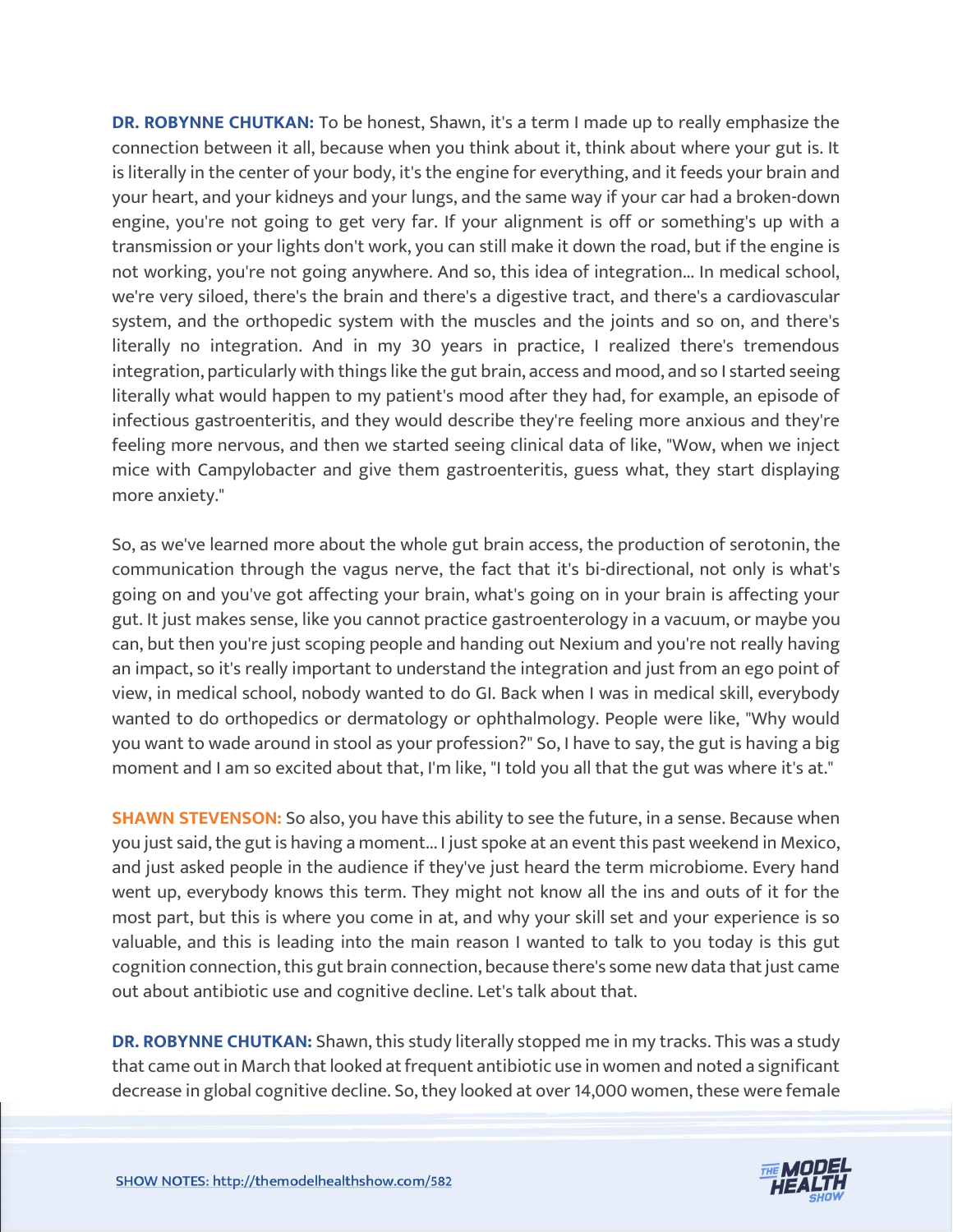**DR. ROBYNNE CHUTKAN:** To be honest, Shawn, it's a term I made up to really emphasize the connection between it all, because when you think about it, think about where your gut is. It is literally in the center of your body, it's the engine for everything, and it feeds your brain and your heart, and your kidneys and your lungs, and the same way if your car had a broken-down engine, you're not going to get very far. If your alignment is off or something's up with a transmission or your lights don't work, you can still make it down the road, but if the engine is not working, you're not going anywhere. And so, this idea of integration... In medical school, we're very siloed, there's the brain and there's a digestive tract, and there's a cardiovascular system, and the orthopedic system with the muscles and the joints and so on, and there's literally no integration. And in my 30 years in practice, I realized there's tremendous integration, particularly with things like the gut brain, access and mood, and so I started seeing literally what would happen to my patient's mood after they had, for example, an episode of infectious gastroenteritis, and they would describe they're feeling more anxious and they're feeling more nervous, and then we started seeing clinical data of like, "Wow, when we inject mice with Campylobacter and give them gastroenteritis, guess what, they start displaying more anxiety."

So, as we've learned more about the whole gut brain access, the production of serotonin, the communication through the vagus nerve, the fact that it's bi-directional, not only is what's going on and you've got affecting your brain, what's going on in your brain is affecting your gut. It just makes sense, like you cannot practice gastroenterology in a vacuum, or maybe you can, but then you're just scoping people and handing out Nexium and you're not really having an impact, so it's really important to understand the integration and just from an ego point of view, in medical school, nobody wanted to do GI. Back when I was in medical skill, everybody wanted to do orthopedics or dermatology or ophthalmology. People were like, "Why would you want to wade around in stool as your profession?" So, I have to say, the gut is having a big moment and I am so excited about that, I'm like, "I told you all that the gut was where it's at."

**SHAWN STEVENSON:** So also, you have this ability to see the future, in a sense. Because when you just said, the gut is having a moment... I just spoke at an event this past weekend in Mexico, and just asked people in the audience if they've just heard the term microbiome. Every hand went up, everybody knows this term. They might not know all the ins and outs of it for the most part, but this is where you come in at, and why your skill set and your experience is so valuable, and this is leading into the main reason I wanted to talk to you today is this gut cognition connection, this gut brain connection, because there's some new data that just came out about antibiotic use and cognitive decline. Let's talk about that.

**DR. ROBYNNE CHUTKAN:** Shawn, this study literally stopped me in my tracks. This was a study that came out in March that looked at frequent antibiotic use in women and noted a significant decrease in global cognitive decline. So, they looked at over 14,000 women, these were female

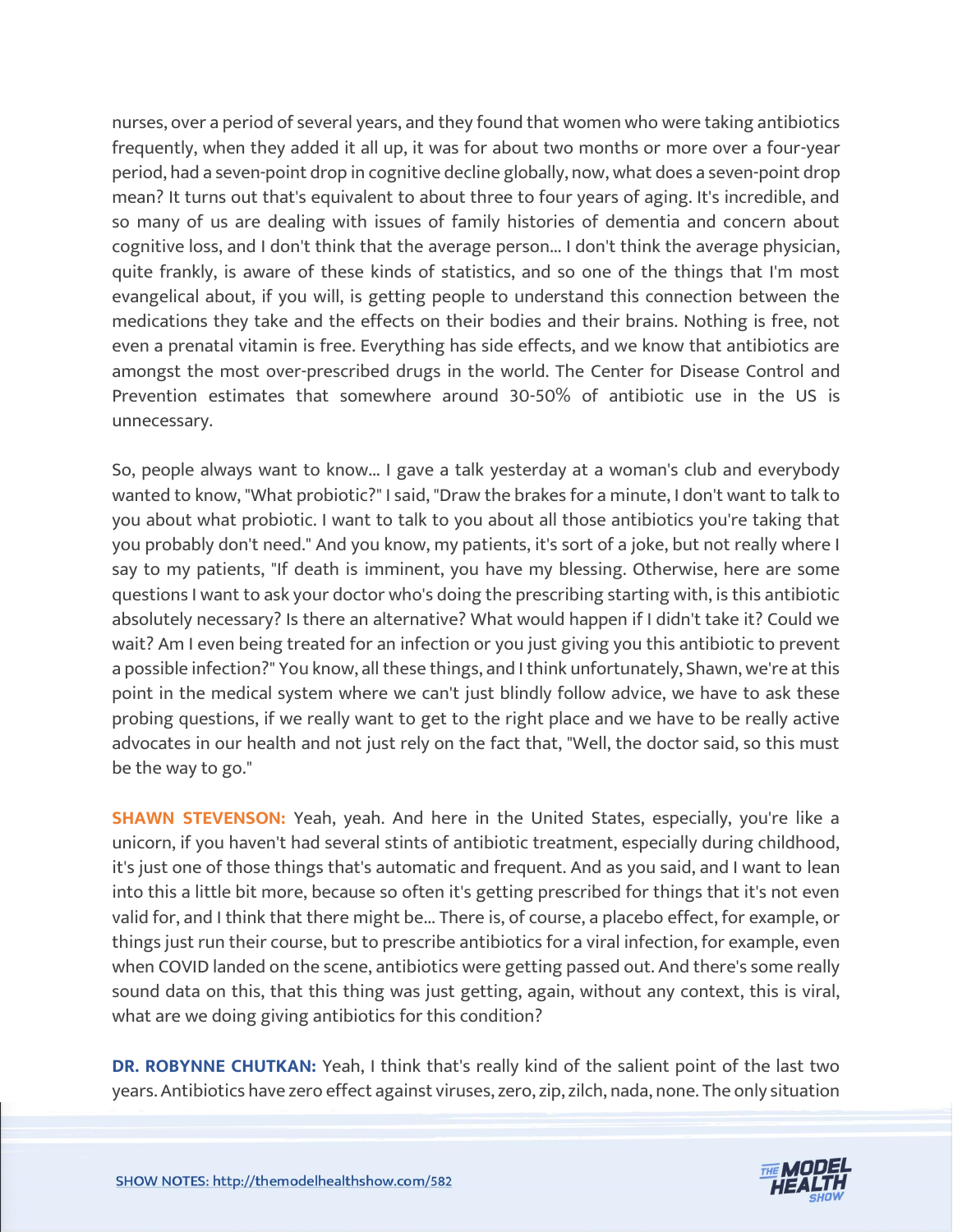nurses, over a period of several years, and they found that women who were taking antibiotics frequently, when they added it all up, it was for about two months or more over a four-year period, had a seven-point drop in cognitive decline globally, now, what does a seven-point drop mean? It turns out that's equivalent to about three to four years of aging. It's incredible, and so many of us are dealing with issues of family histories of dementia and concern about cognitive loss, and I don't think that the average person... I don't think the average physician, quite frankly, is aware of these kinds of statistics, and so one of the things that I'm most evangelical about, if you will, is getting people to understand this connection between the medications they take and the effects on their bodies and their brains. Nothing is free, not even a prenatal vitamin is free. Everything has side effects, and we know that antibiotics are amongst the most over-prescribed drugs in the world. The Center for Disease Control and Prevention estimates that somewhere around 30-50% of antibiotic use in the US is unnecessary.

So, people always want to know... I gave a talk yesterday at a woman's club and everybody wanted to know, "What probiotic?" I said, "Draw the brakes for a minute, I don't want to talk to you about what probiotic. I want to talk to you about all those antibiotics you're taking that you probably don't need." And you know, my patients, it's sort of a joke, but not really where I say to my patients, "If death is imminent, you have my blessing. Otherwise, here are some questions I want to ask your doctor who's doing the prescribing starting with, is this antibiotic absolutely necessary? Is there an alternative? What would happen if I didn't take it? Could we wait? Am I even being treated for an infection or you just giving you this antibiotic to prevent a possible infection?" You know, all these things, and I think unfortunately, Shawn, we're at this point in the medical system where we can't just blindly follow advice, we have to ask these probing questions, if we really want to get to the right place and we have to be really active advocates in our health and not just rely on the fact that, "Well, the doctor said, so this must be the way to go."

**SHAWN STEVENSON:** Yeah, yeah. And here in the United States, especially, you're like a unicorn, if you haven't had several stints of antibiotic treatment, especially during childhood, it's just one of those things that's automatic and frequent. And as you said, and I want to lean into this a little bit more, because so often it's getting prescribed for things that it's not even valid for, and I think that there might be... There is, of course, a placebo effect, for example, or things just run their course, but to prescribe antibiotics for a viral infection, for example, even when COVID landed on the scene, antibiotics were getting passed out. And there's some really sound data on this, that this thing was just getting, again, without any context, this is viral, what are we doing giving antibiotics for this condition?

**DR. ROBYNNE CHUTKAN:** Yeah, I think that's really kind of the salient point of the last two years. Antibiotics have zero effect against viruses, zero, zip, zilch, nada, none. The only situation

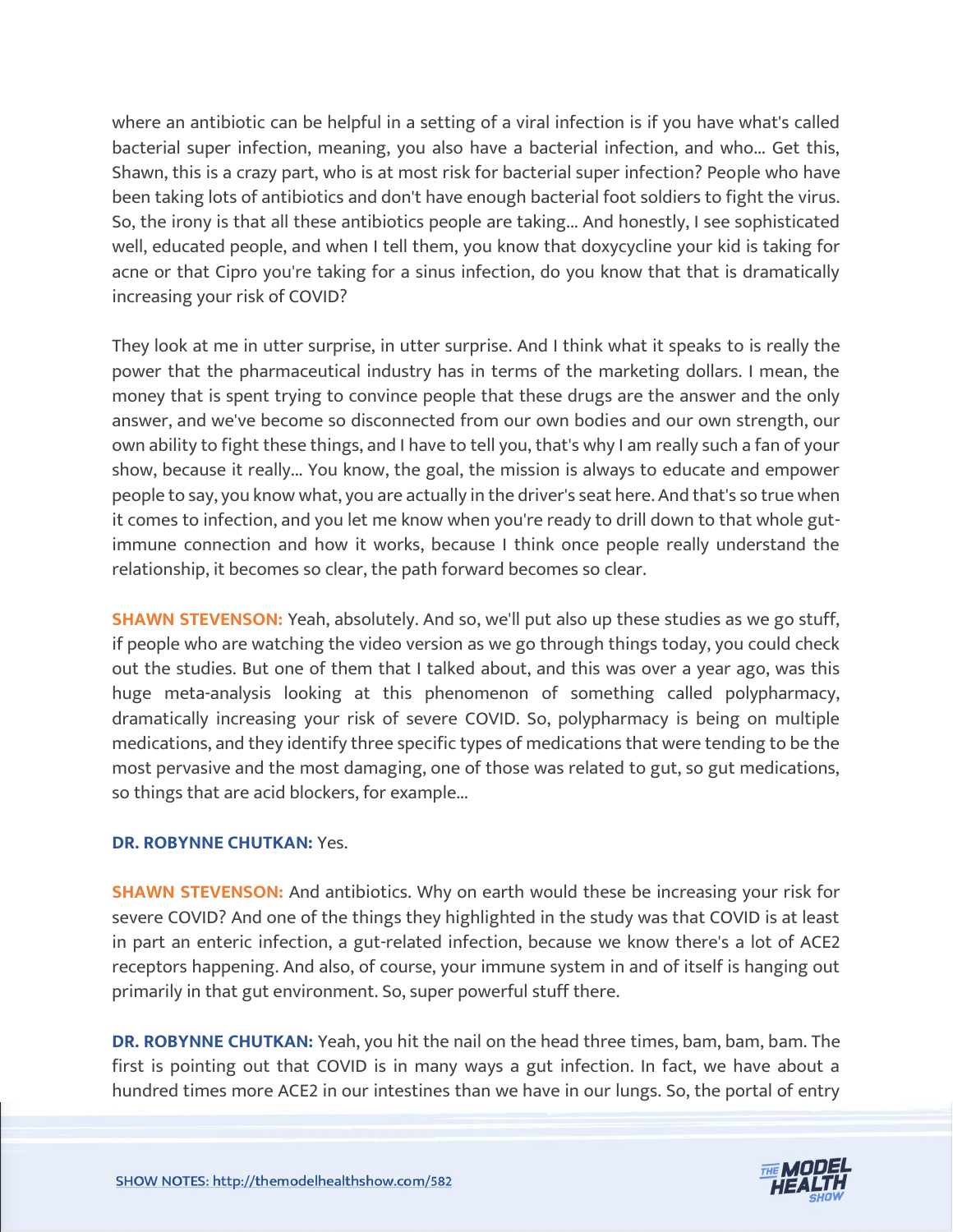where an antibiotic can be helpful in a setting of a viral infection is if you have what's called bacterial super infection, meaning, you also have a bacterial infection, and who... Get this, Shawn, this is a crazy part, who is at most risk for bacterial super infection? People who have been taking lots of antibiotics and don't have enough bacterial foot soldiers to fight the virus. So, the irony is that all these antibiotics people are taking... And honestly, I see sophisticated well, educated people, and when I tell them, you know that doxycycline your kid is taking for acne or that Cipro you're taking for a sinus infection, do you know that that is dramatically increasing your risk of COVID?

They look at me in utter surprise, in utter surprise. And I think what it speaks to is really the power that the pharmaceutical industry has in terms of the marketing dollars. I mean, the money that is spent trying to convince people that these drugs are the answer and the only answer, and we've become so disconnected from our own bodies and our own strength, our own ability to fight these things, and I have to tell you, that's why I am really such a fan of your show, because it really... You know, the goal, the mission is always to educate and empower people to say, you know what, you are actually in the driver's seat here. And that's so true when it comes to infection, and you let me know when you're ready to drill down to that whole gutimmune connection and how it works, because I think once people really understand the relationship, it becomes so clear, the path forward becomes so clear.

**SHAWN STEVENSON:** Yeah, absolutely. And so, we'll put also up these studies as we go stuff, if people who are watching the video version as we go through things today, you could check out the studies. But one of them that I talked about, and this was over a year ago, was this huge meta-analysis looking at this phenomenon of something called polypharmacy, dramatically increasing your risk of severe COVID. So, polypharmacy is being on multiple medications, and they identify three specific types of medications that were tending to be the most pervasive and the most damaging, one of those was related to gut, so gut medications, so things that are acid blockers, for example...

#### **DR. ROBYNNE CHUTKAN:** Yes.

**SHAWN STEVENSON:** And antibiotics. Why on earth would these be increasing your risk for severe COVID? And one of the things they highlighted in the study was that COVID is at least in part an enteric infection, a gut-related infection, because we know there's a lot of ACE2 receptors happening. And also, of course, your immune system in and of itself is hanging out primarily in that gut environment. So, super powerful stuff there.

**DR. ROBYNNE CHUTKAN:** Yeah, you hit the nail on the head three times, bam, bam, bam. The first is pointing out that COVID is in many ways a gut infection. In fact, we have about a hundred times more ACE2 in our intestines than we have in our lungs. So, the portal of entry

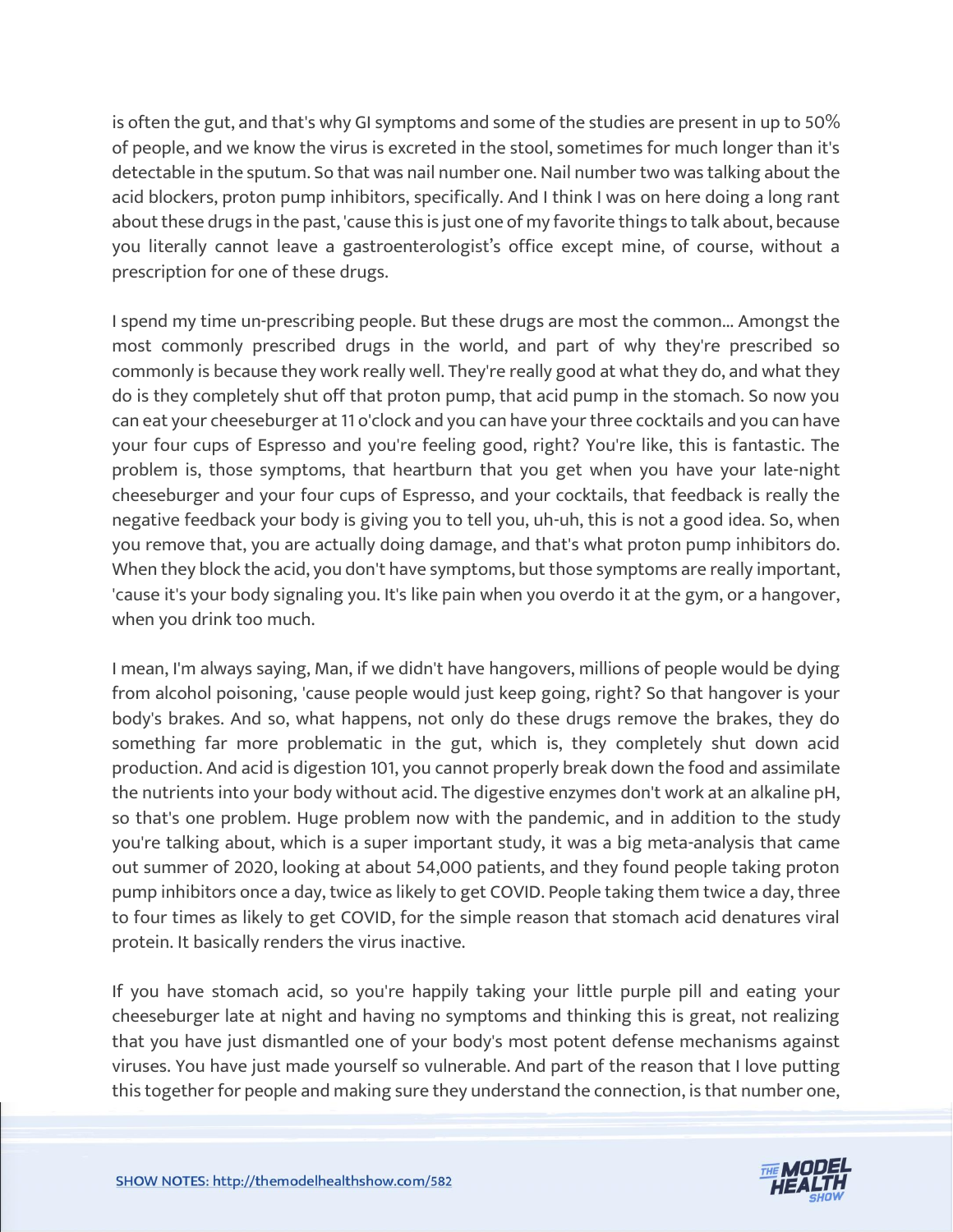is often the gut, and that's why GI symptoms and some of the studies are present in up to 50% of people, and we know the virus is excreted in the stool, sometimes for much longer than it's detectable in the sputum. So that was nail number one. Nail number two was talking about the acid blockers, proton pump inhibitors, specifically. And I think I was on here doing a long rant about these drugs in the past, 'cause this is just one of my favorite things to talk about, because you literally cannot leave a gastroenterologist's office except mine, of course, without a prescription for one of these drugs.

I spend my time un-prescribing people. But these drugs are most the common... Amongst the most commonly prescribed drugs in the world, and part of why they're prescribed so commonly is because they work really well. They're really good at what they do, and what they do is they completely shut off that proton pump, that acid pump in the stomach. So now you can eat your cheeseburger at 11 o'clock and you can have your three cocktails and you can have your four cups of Espresso and you're feeling good, right? You're like, this is fantastic. The problem is, those symptoms, that heartburn that you get when you have your late-night cheeseburger and your four cups of Espresso, and your cocktails, that feedback is really the negative feedback your body is giving you to tell you, uh-uh, this is not a good idea. So, when you remove that, you are actually doing damage, and that's what proton pump inhibitors do. When they block the acid, you don't have symptoms, but those symptoms are really important, 'cause it's your body signaling you. It's like pain when you overdo it at the gym, or a hangover, when you drink too much.

I mean, I'm always saying, Man, if we didn't have hangovers, millions of people would be dying from alcohol poisoning, 'cause people would just keep going, right? So that hangover is your body's brakes. And so, what happens, not only do these drugs remove the brakes, they do something far more problematic in the gut, which is, they completely shut down acid production. And acid is digestion 101, you cannot properly break down the food and assimilate the nutrients into your body without acid. The digestive enzymes don't work at an alkaline pH, so that's one problem. Huge problem now with the pandemic, and in addition to the study you're talking about, which is a super important study, it was a big meta-analysis that came out summer of 2020, looking at about 54,000 patients, and they found people taking proton pump inhibitors once a day, twice as likely to get COVID. People taking them twice a day, three to four times as likely to get COVID, for the simple reason that stomach acid denatures viral protein. It basically renders the virus inactive.

If you have stomach acid, so you're happily taking your little purple pill and eating your cheeseburger late at night and having no symptoms and thinking this is great, not realizing that you have just dismantled one of your body's most potent defense mechanisms against viruses. You have just made yourself so vulnerable. And part of the reason that I love putting this together for people and making sure they understand the connection, is that number one,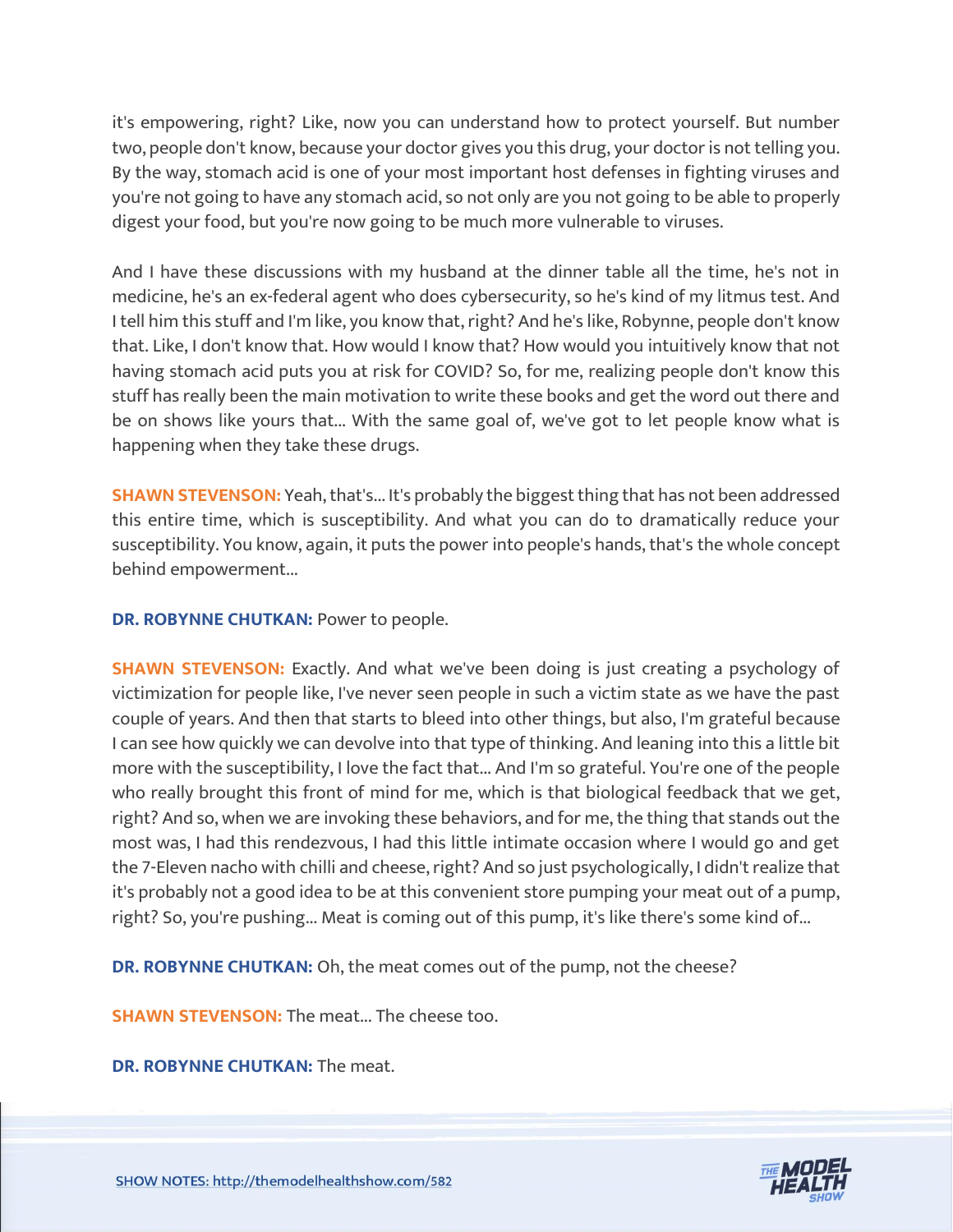it's empowering, right? Like, now you can understand how to protect yourself. But number two, people don't know, because your doctor gives you this drug, your doctor is not telling you. By the way, stomach acid is one of your most important host defenses in fighting viruses and you're not going to have any stomach acid, so not only are you not going to be able to properly digest your food, but you're now going to be much more vulnerable to viruses.

And I have these discussions with my husband at the dinner table all the time, he's not in medicine, he's an ex-federal agent who does cybersecurity, so he's kind of my litmus test. And I tell him this stuff and I'm like, you know that, right? And he's like, Robynne, people don't know that. Like, I don't know that. How would I know that? How would you intuitively know that not having stomach acid puts you at risk for COVID? So, for me, realizing people don't know this stuff has really been the main motivation to write these books and get the word out there and be on shows like yours that... With the same goal of, we've got to let people know what is happening when they take these drugs.

**SHAWN STEVENSON:** Yeah, that's... It's probably the biggest thing that has not been addressed this entire time, which is susceptibility. And what you can do to dramatically reduce your susceptibility. You know, again, it puts the power into people's hands, that's the whole concept behind empowerment...

**DR. ROBYNNE CHUTKAN:** Power to people.

**SHAWN STEVENSON:** Exactly. And what we've been doing is just creating a psychology of victimization for people like, I've never seen people in such a victim state as we have the past couple of years. And then that starts to bleed into other things, but also, I'm grateful because I can see how quickly we can devolve into that type of thinking. And leaning into this a little bit more with the susceptibility, I love the fact that... And I'm so grateful. You're one of the people who really brought this front of mind for me, which is that biological feedback that we get, right? And so, when we are invoking these behaviors, and for me, the thing that stands out the most was, I had this rendezvous, I had this little intimate occasion where I would go and get the 7-Eleven nacho with chilli and cheese, right? And so just psychologically, I didn't realize that it's probably not a good idea to be at this convenient store pumping your meat out of a pump, right? So, you're pushing... Meat is coming out of this pump, it's like there's some kind of...

**DR. ROBYNNE CHUTKAN:** Oh, the meat comes out of the pump, not the cheese?

**SHAWN STEVENSON:** The meat... The cheese too.

**DR. ROBYNNE CHUTKAN:** The meat.

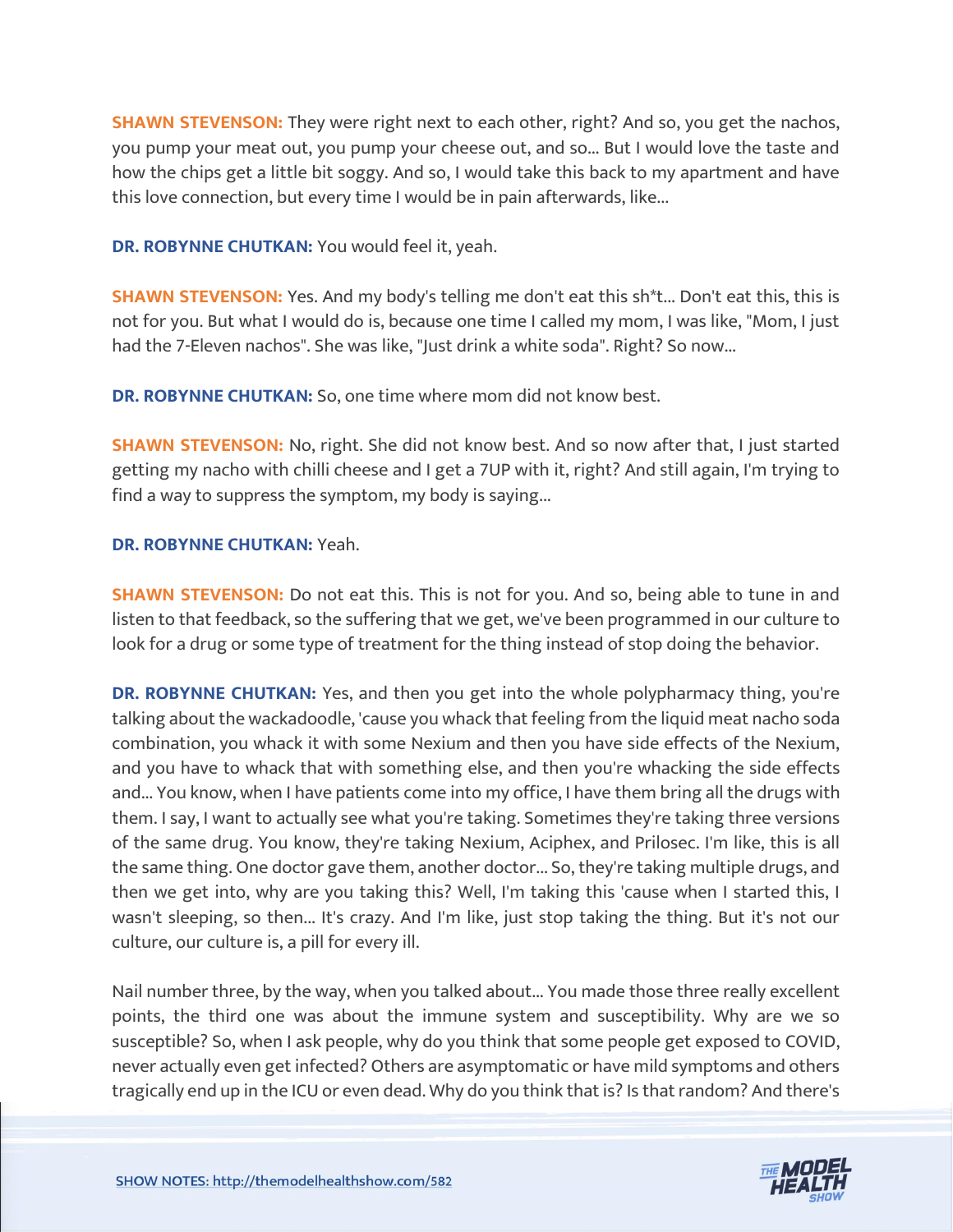**SHAWN STEVENSON:** They were right next to each other, right? And so, you get the nachos, you pump your meat out, you pump your cheese out, and so... But I would love the taste and how the chips get a little bit soggy. And so, I would take this back to my apartment and have this love connection, but every time I would be in pain afterwards, like...

**DR. ROBYNNE CHUTKAN:** You would feel it, yeah.

**SHAWN STEVENSON:** Yes. And my body's telling me don't eat this sh<sup>\*t</sup>... Don't eat this, this is not for you. But what I would do is, because one time I called my mom, I was like, "Mom, I just had the 7-Eleven nachos". She was like, "Just drink a white soda". Right? So now...

**DR. ROBYNNE CHUTKAN:** So, one time where mom did not know best.

**SHAWN STEVENSON:** No, right. She did not know best. And so now after that, I just started getting my nacho with chilli cheese and I get a 7UP with it, right? And still again, I'm trying to find a way to suppress the symptom, my body is saying...

#### **DR. ROBYNNE CHUTKAN:** Yeah.

**SHAWN STEVENSON:** Do not eat this. This is not for you. And so, being able to tune in and listen to that feedback, so the suffering that we get, we've been programmed in our culture to look for a drug or some type of treatment for the thing instead of stop doing the behavior.

**DR. ROBYNNE CHUTKAN:** Yes, and then you get into the whole polypharmacy thing, you're talking about the wackadoodle, 'cause you whack that feeling from the liquid meat nacho soda combination, you whack it with some Nexium and then you have side effects of the Nexium, and you have to whack that with something else, and then you're whacking the side effects and... You know, when I have patients come into my office, I have them bring all the drugs with them. I say, I want to actually see what you're taking. Sometimes they're taking three versions of the same drug. You know, they're taking Nexium, Aciphex, and Prilosec. I'm like, this is all the same thing. One doctor gave them, another doctor... So, they're taking multiple drugs, and then we get into, why are you taking this? Well, I'm taking this 'cause when I started this, I wasn't sleeping, so then... It's crazy. And I'm like, just stop taking the thing. But it's not our culture, our culture is, a pill for every ill.

Nail number three, by the way, when you talked about... You made those three really excellent points, the third one was about the immune system and susceptibility. Why are we so susceptible? So, when I ask people, why do you think that some people get exposed to COVID, never actually even get infected? Others are asymptomatic or have mild symptoms and others tragically end up in the ICU or even dead. Why do you think that is? Is that random? And there's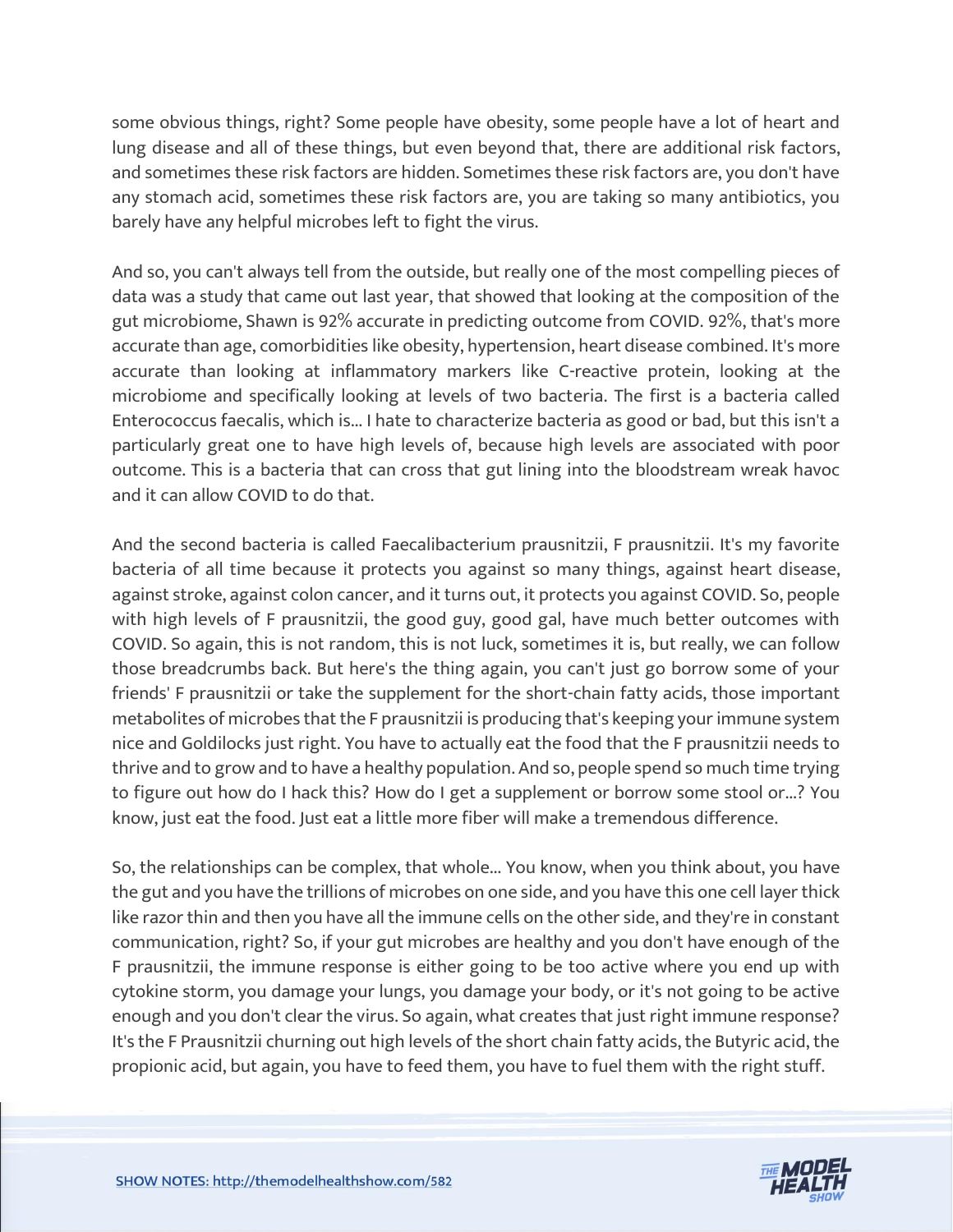some obvious things, right? Some people have obesity, some people have a lot of heart and lung disease and all of these things, but even beyond that, there are additional risk factors, and sometimes these risk factors are hidden. Sometimes these risk factors are, you don't have any stomach acid, sometimes these risk factors are, you are taking so many antibiotics, you barely have any helpful microbes left to fight the virus.

And so, you can't always tell from the outside, but really one of the most compelling pieces of data was a study that came out last year, that showed that looking at the composition of the gut microbiome, Shawn is 92% accurate in predicting outcome from COVID. 92%, that's more accurate than age, comorbidities like obesity, hypertension, heart disease combined. It's more accurate than looking at inflammatory markers like C-reactive protein, looking at the microbiome and specifically looking at levels of two bacteria. The first is a bacteria called Enterococcus faecalis, which is... I hate to characterize bacteria as good or bad, but this isn't a particularly great one to have high levels of, because high levels are associated with poor outcome. This is a bacteria that can cross that gut lining into the bloodstream wreak havoc and it can allow COVID to do that.

And the second bacteria is called Faecalibacterium prausnitzii, F prausnitzii. It's my favorite bacteria of all time because it protects you against so many things, against heart disease, against stroke, against colon cancer, and it turns out, it protects you against COVID. So, people with high levels of F prausnitzii, the good guy, good gal, have much better outcomes with COVID. So again, this is not random, this is not luck, sometimes it is, but really, we can follow those breadcrumbs back. But here's the thing again, you can't just go borrow some of your friends' F prausnitzii or take the supplement for the short-chain fatty acids, those important metabolites of microbes that the F prausnitzii is producing that's keeping your immune system nice and Goldilocks just right. You have to actually eat the food that the F prausnitzii needs to thrive and to grow and to have a healthy population. And so, people spend so much time trying to figure out how do I hack this? How do I get a supplement or borrow some stool or...? You know, just eat the food. Just eat a little more fiber will make a tremendous difference.

So, the relationships can be complex, that whole... You know, when you think about, you have the gut and you have the trillions of microbes on one side, and you have this one cell layer thick like razor thin and then you have all the immune cells on the other side, and they're in constant communication, right? So, if your gut microbes are healthy and you don't have enough of the F prausnitzii, the immune response is either going to be too active where you end up with cytokine storm, you damage your lungs, you damage your body, or it's not going to be active enough and you don't clear the virus. So again, what creates that just right immune response? It's the F Prausnitzii churning out high levels of the short chain fatty acids, the Butyric acid, the propionic acid, but again, you have to feed them, you have to fuel them with the right stuff.

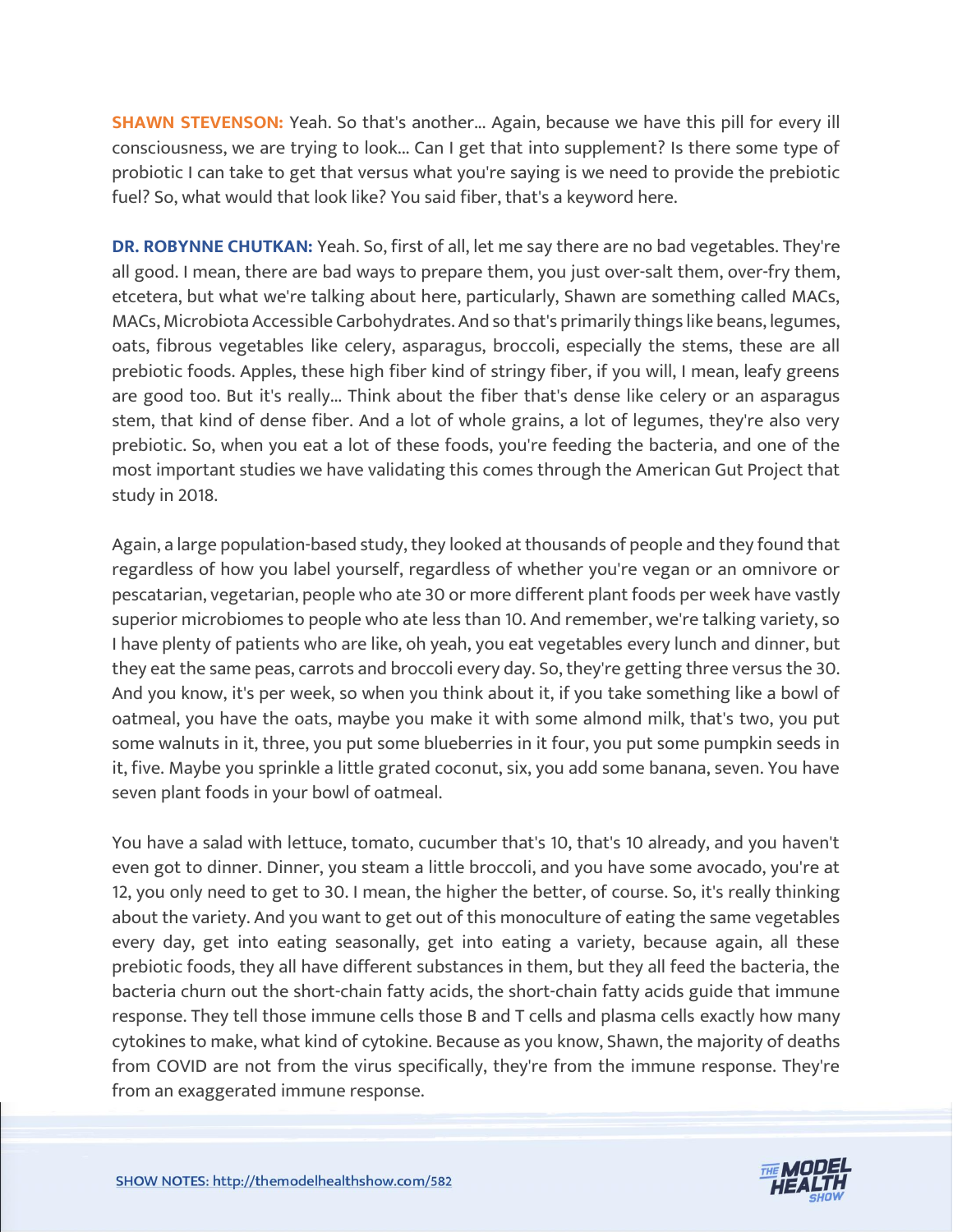**SHAWN STEVENSON:** Yeah. So that's another... Again, because we have this pill for every ill consciousness, we are trying to look... Can I get that into supplement? Is there some type of probiotic I can take to get that versus what you're saying is we need to provide the prebiotic fuel? So, what would that look like? You said fiber, that's a keyword here.

**DR. ROBYNNE CHUTKAN:** Yeah. So, first of all, let me say there are no bad vegetables. They're all good. I mean, there are bad ways to prepare them, you just over-salt them, over-fry them, etcetera, but what we're talking about here, particularly, Shawn are something called MACs, MACs, Microbiota Accessible Carbohydrates. And so that's primarily things like beans, legumes, oats, fibrous vegetables like celery, asparagus, broccoli, especially the stems, these are all prebiotic foods. Apples, these high fiber kind of stringy fiber, if you will, I mean, leafy greens are good too. But it's really... Think about the fiber that's dense like celery or an asparagus stem, that kind of dense fiber. And a lot of whole grains, a lot of legumes, they're also very prebiotic. So, when you eat a lot of these foods, you're feeding the bacteria, and one of the most important studies we have validating this comes through the American Gut Project that study in 2018.

Again, a large population-based study, they looked at thousands of people and they found that regardless of how you label yourself, regardless of whether you're vegan or an omnivore or pescatarian, vegetarian, people who ate 30 or more different plant foods per week have vastly superior microbiomes to people who ate less than 10. And remember, we're talking variety, so I have plenty of patients who are like, oh yeah, you eat vegetables every lunch and dinner, but they eat the same peas, carrots and broccoli every day. So, they're getting three versus the 30. And you know, it's per week, so when you think about it, if you take something like a bowl of oatmeal, you have the oats, maybe you make it with some almond milk, that's two, you put some walnuts in it, three, you put some blueberries in it four, you put some pumpkin seeds in it, five. Maybe you sprinkle a little grated coconut, six, you add some banana, seven. You have seven plant foods in your bowl of oatmeal.

You have a salad with lettuce, tomato, cucumber that's 10, that's 10 already, and you haven't even got to dinner. Dinner, you steam a little broccoli, and you have some avocado, you're at 12, you only need to get to 30. I mean, the higher the better, of course. So, it's really thinking about the variety. And you want to get out of this monoculture of eating the same vegetables every day, get into eating seasonally, get into eating a variety, because again, all these prebiotic foods, they all have different substances in them, but they all feed the bacteria, the bacteria churn out the short-chain fatty acids, the short-chain fatty acids guide that immune response. They tell those immune cells those B and T cells and plasma cells exactly how many cytokines to make, what kind of cytokine. Because as you know, Shawn, the majority of deaths from COVID are not from the virus specifically, they're from the immune response. They're from an exaggerated immune response.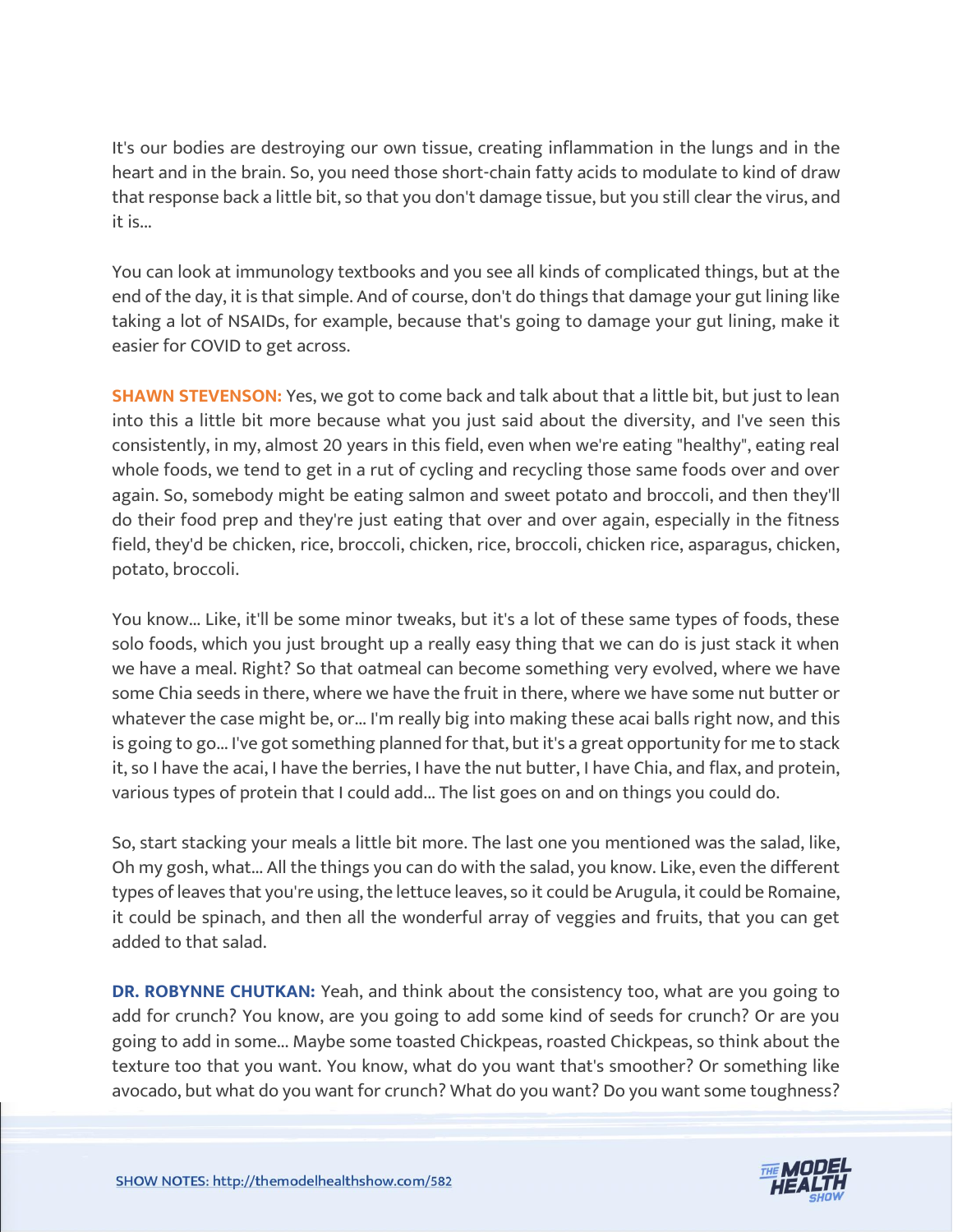It's our bodies are destroying our own tissue, creating inflammation in the lungs and in the heart and in the brain. So, you need those short-chain fatty acids to modulate to kind of draw that response back a little bit, so that you don't damage tissue, but you still clear the virus, and it is...

You can look at immunology textbooks and you see all kinds of complicated things, but at the end of the day, it is that simple. And of course, don't do things that damage your gut lining like taking a lot of NSAIDs, for example, because that's going to damage your gut lining, make it easier for COVID to get across.

**SHAWN STEVENSON:** Yes, we got to come back and talk about that a little bit, but just to lean into this a little bit more because what you just said about the diversity, and I've seen this consistently, in my, almost 20 years in this field, even when we're eating "healthy", eating real whole foods, we tend to get in a rut of cycling and recycling those same foods over and over again. So, somebody might be eating salmon and sweet potato and broccoli, and then they'll do their food prep and they're just eating that over and over again, especially in the fitness field, they'd be chicken, rice, broccoli, chicken, rice, broccoli, chicken rice, asparagus, chicken, potato, broccoli.

You know... Like, it'll be some minor tweaks, but it's a lot of these same types of foods, these solo foods, which you just brought up a really easy thing that we can do is just stack it when we have a meal. Right? So that oatmeal can become something very evolved, where we have some Chia seeds in there, where we have the fruit in there, where we have some nut butter or whatever the case might be, or... I'm really big into making these acai balls right now, and this is going to go... I've got something planned for that, but it's a great opportunity for me to stack it, so I have the acai, I have the berries, I have the nut butter, I have Chia, and flax, and protein, various types of protein that I could add... The list goes on and on things you could do.

So, start stacking your meals a little bit more. The last one you mentioned was the salad, like, Oh my gosh, what... All the things you can do with the salad, you know. Like, even the different types of leaves that you're using, the lettuce leaves, so it could be Arugula, it could be Romaine, it could be spinach, and then all the wonderful array of veggies and fruits, that you can get added to that salad.

**DR. ROBYNNE CHUTKAN:** Yeah, and think about the consistency too, what are you going to add for crunch? You know, are you going to add some kind of seeds for crunch? Or are you going to add in some... Maybe some toasted Chickpeas, roasted Chickpeas, so think about the texture too that you want. You know, what do you want that's smoother? Or something like avocado, but what do you want for crunch? What do you want? Do you want some toughness?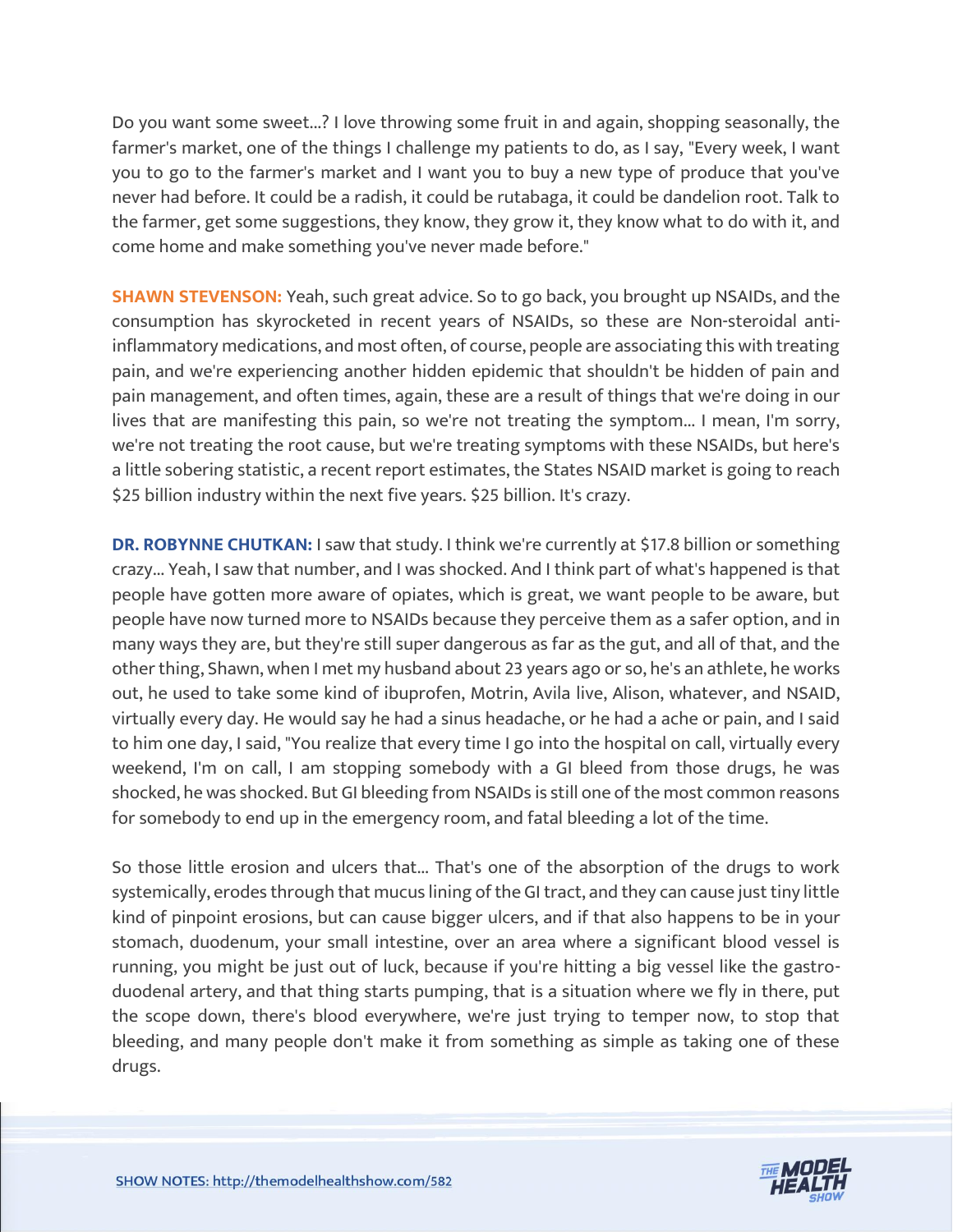Do you want some sweet...? I love throwing some fruit in and again, shopping seasonally, the farmer's market, one of the things I challenge my patients to do, as I say, "Every week, I want you to go to the farmer's market and I want you to buy a new type of produce that you've never had before. It could be a radish, it could be rutabaga, it could be dandelion root. Talk to the farmer, get some suggestions, they know, they grow it, they know what to do with it, and come home and make something you've never made before."

**SHAWN STEVENSON:** Yeah, such great advice. So to go back, you brought up NSAIDs, and the consumption has skyrocketed in recent years of NSAIDs, so these are Non-steroidal antiinflammatory medications, and most often, of course, people are associating this with treating pain, and we're experiencing another hidden epidemic that shouldn't be hidden of pain and pain management, and often times, again, these are a result of things that we're doing in our lives that are manifesting this pain, so we're not treating the symptom... I mean, I'm sorry, we're not treating the root cause, but we're treating symptoms with these NSAIDs, but here's a little sobering statistic, a recent report estimates, the States NSAID market is going to reach \$25 billion industry within the next five years. \$25 billion. It's crazy.

**DR. ROBYNNE CHUTKAN: I saw that study. I think we're currently at \$17.8 billion or something** crazy... Yeah, I saw that number, and I was shocked. And I think part of what's happened is that people have gotten more aware of opiates, which is great, we want people to be aware, but people have now turned more to NSAIDs because they perceive them as a safer option, and in many ways they are, but they're still super dangerous as far as the gut, and all of that, and the other thing, Shawn, when I met my husband about 23 years ago or so, he's an athlete, he works out, he used to take some kind of ibuprofen, Motrin, Avila live, Alison, whatever, and NSAID, virtually every day. He would say he had a sinus headache, or he had a ache or pain, and I said to him one day, I said, "You realize that every time I go into the hospital on call, virtually every weekend, I'm on call, I am stopping somebody with a GI bleed from those drugs, he was shocked, he was shocked. But GI bleeding from NSAIDs is still one of the most common reasons for somebody to end up in the emergency room, and fatal bleeding a lot of the time.

So those little erosion and ulcers that... That's one of the absorption of the drugs to work systemically, erodes through that mucus lining of the GI tract, and they can cause just tiny little kind of pinpoint erosions, but can cause bigger ulcers, and if that also happens to be in your stomach, duodenum, your small intestine, over an area where a significant blood vessel is running, you might be just out of luck, because if you're hitting a big vessel like the gastroduodenal artery, and that thing starts pumping, that is a situation where we fly in there, put the scope down, there's blood everywhere, we're just trying to temper now, to stop that bleeding, and many people don't make it from something as simple as taking one of these drugs.

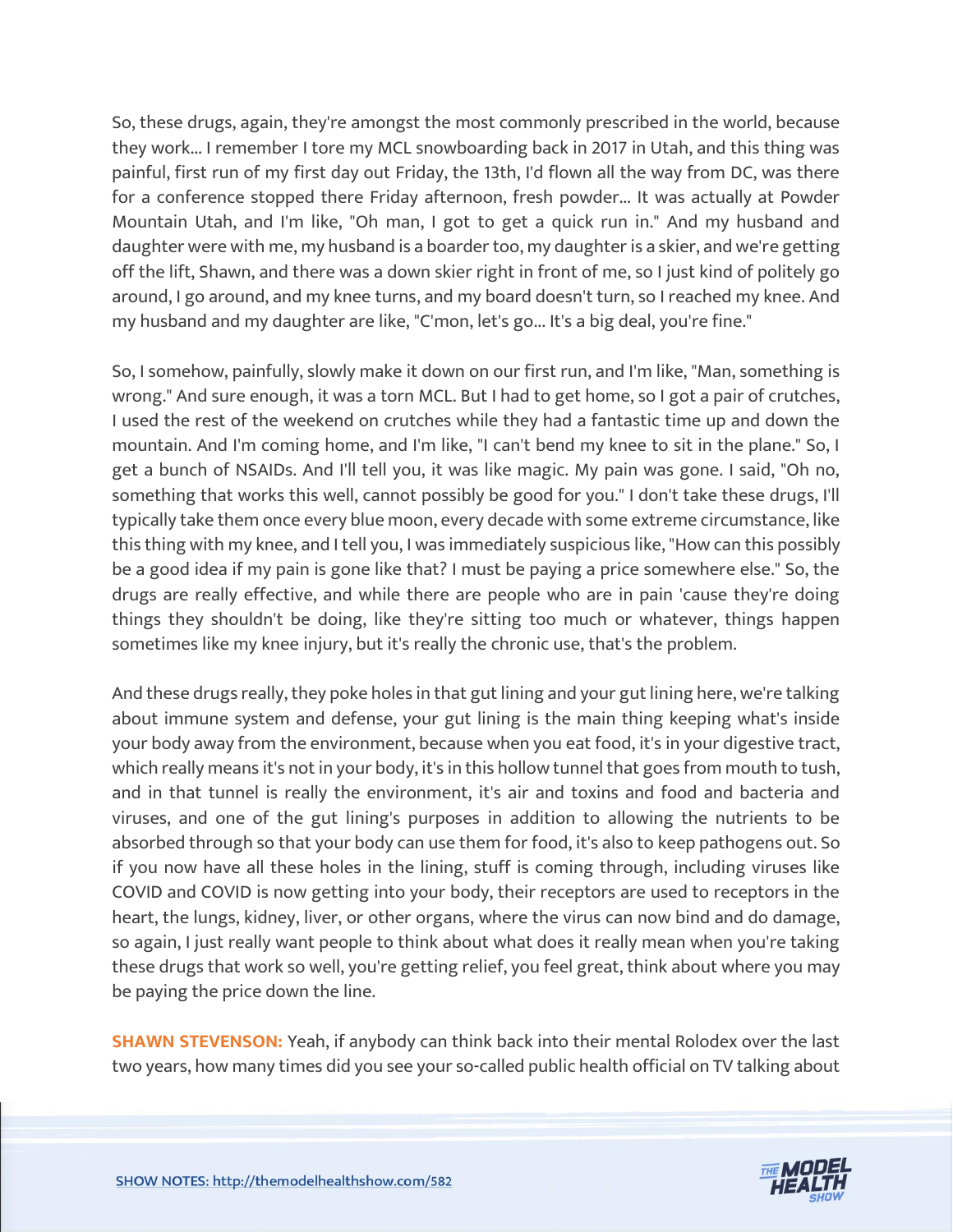So, these drugs, again, they're amongst the most commonly prescribed in the world, because they work... I remember I tore my MCL snowboarding back in 2017 in Utah, and this thing was painful, first run of my first day out Friday, the 13th, I'd flown all the way from DC, was there for a conference stopped there Friday afternoon, fresh powder... It was actually at Powder Mountain Utah, and I'm like, "Oh man, I got to get a quick run in." And my husband and daughter were with me, my husband is a boarder too, my daughter is a skier, and we're getting off the lift, Shawn, and there was a down skier right in front of me, so I just kind of politely go around, I go around, and my knee turns, and my board doesn't turn, so I reached my knee. And my husband and my daughter are like, "C'mon, let's go... It's a big deal, you're fine."

So, I somehow, painfully, slowly make it down on our first run, and I'm like, "Man, something is wrong." And sure enough, it was a torn MCL. But I had to get home, so I got a pair of crutches, I used the rest of the weekend on crutches while they had a fantastic time up and down the mountain. And I'm coming home, and I'm like, "I can't bend my knee to sit in the plane." So, I get a bunch of NSAIDs. And I'll tell you, it was like magic. My pain was gone. I said, "Oh no, something that works this well, cannot possibly be good for you." I don't take these drugs, I'll typically take them once every blue moon, every decade with some extreme circumstance, like this thing with my knee, and I tell you, I was immediately suspicious like, "How can this possibly be a good idea if my pain is gone like that? I must be paying a price somewhere else." So, the drugs are really effective, and while there are people who are in pain 'cause they're doing things they shouldn't be doing, like they're sitting too much or whatever, things happen sometimes like my knee injury, but it's really the chronic use, that's the problem.

And these drugs really, they poke holes in that gut lining and your gut lining here, we're talking about immune system and defense, your gut lining is the main thing keeping what's inside your body away from the environment, because when you eat food, it's in your digestive tract, which really means it's not in your body, it's in this hollow tunnel that goes from mouth to tush, and in that tunnel is really the environment, it's air and toxins and food and bacteria and viruses, and one of the gut lining's purposes in addition to allowing the nutrients to be absorbed through so that your body can use them for food, it's also to keep pathogens out. So if you now have all these holes in the lining, stuff is coming through, including viruses like COVID and COVID is now getting into your body, their receptors are used to receptors in the heart, the lungs, kidney, liver, or other organs, where the virus can now bind and do damage, so again, I just really want people to think about what does it really mean when you're taking these drugs that work so well, you're getting relief, you feel great, think about where you may be paying the price down the line.

**SHAWN STEVENSON:** Yeah, if anybody can think back into their mental Rolodex over the last two years, how many times did you see your so-called public health official on TV talking about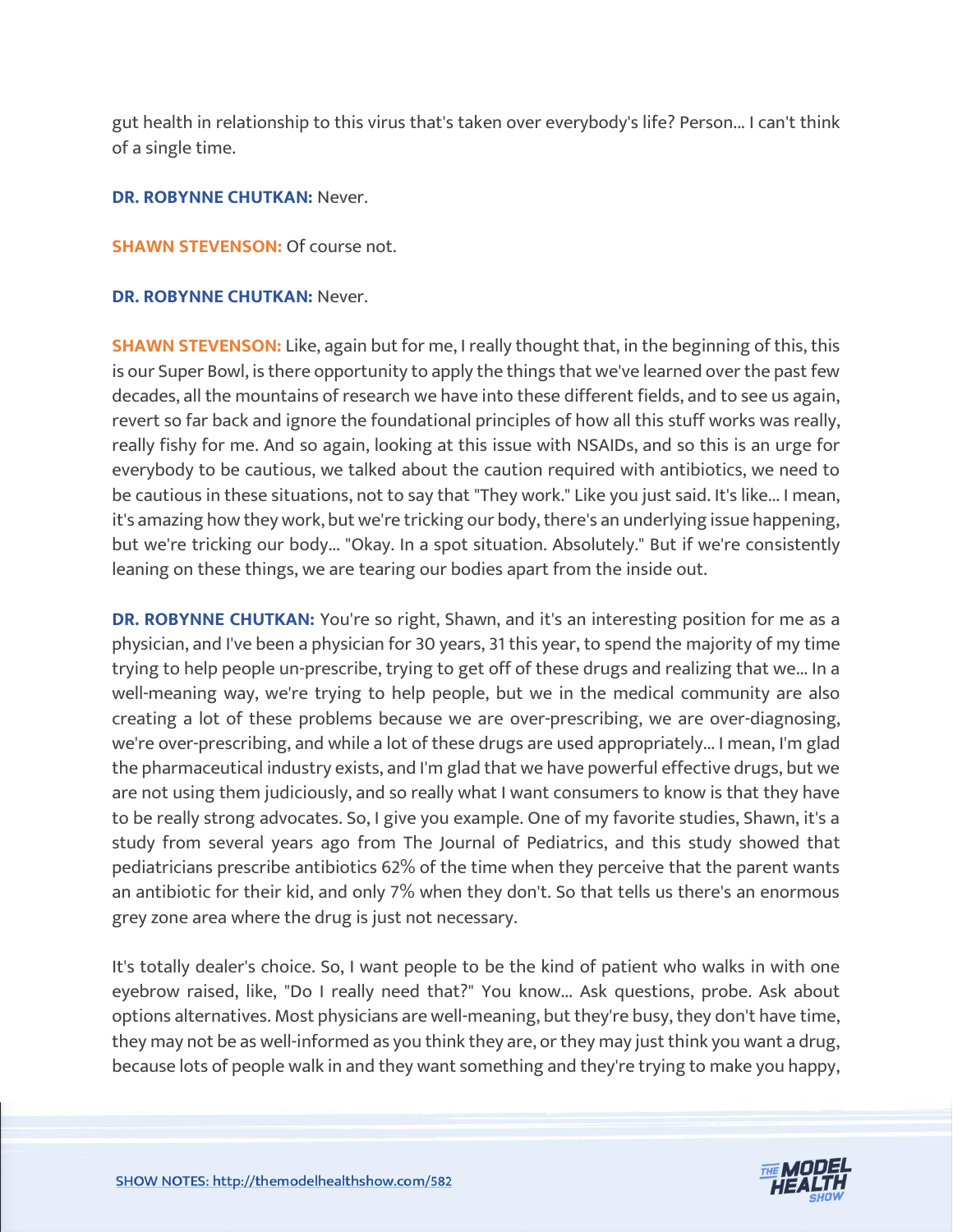gut health in relationship to this virus that's taken over everybody's life? Person... I can't think of a single time.

#### **DR. ROBYNNE CHUTKAN:** Never.

#### **SHAWN STEVENSON: Of course not.**

#### **DR. ROBYNNE CHUTKAN:** Never.

**SHAWN STEVENSON:** Like, again but for me, I really thought that, in the beginning of this, this is our Super Bowl, is there opportunity to apply the things that we've learned over the past few decades, all the mountains of research we have into these different fields, and to see us again, revert so far back and ignore the foundational principles of how all this stuff works was really, really fishy for me. And so again, looking at this issue with NSAIDs, and so this is an urge for everybody to be cautious, we talked about the caution required with antibiotics, we need to be cautious in these situations, not to say that "They work." Like you just said. It's like... I mean, it's amazing how they work, but we're tricking our body, there's an underlying issue happening, but we're tricking our body... "Okay. In a spot situation. Absolutely." But if we're consistently leaning on these things, we are tearing our bodies apart from the inside out.

**DR. ROBYNNE CHUTKAN:** You're so right, Shawn, and it's an interesting position for me as a physician, and I've been a physician for 30 years, 31 this year, to spend the majority of my time trying to help people un-prescribe, trying to get off of these drugs and realizing that we... In a well-meaning way, we're trying to help people, but we in the medical community are also creating a lot of these problems because we are over-prescribing, we are over-diagnosing, we're over-prescribing, and while a lot of these drugs are used appropriately... I mean, I'm glad the pharmaceutical industry exists, and I'm glad that we have powerful effective drugs, but we are not using them judiciously, and so really what I want consumers to know is that they have to be really strong advocates. So, I give you example. One of my favorite studies, Shawn, it's a study from several years ago from The Journal of Pediatrics, and this study showed that pediatricians prescribe antibiotics 62% of the time when they perceive that the parent wants an antibiotic for their kid, and only 7% when they don't. So that tells us there's an enormous grey zone area where the drug is just not necessary.

It's totally dealer's choice. So, I want people to be the kind of patient who walks in with one eyebrow raised, like, "Do I really need that?" You know... Ask questions, probe. Ask about options alternatives. Most physicians are well-meaning, but they're busy, they don't have time, they may not be as well-informed as you think they are, or they may just think you want a drug, because lots of people walk in and they want something and they're trying to make you happy,

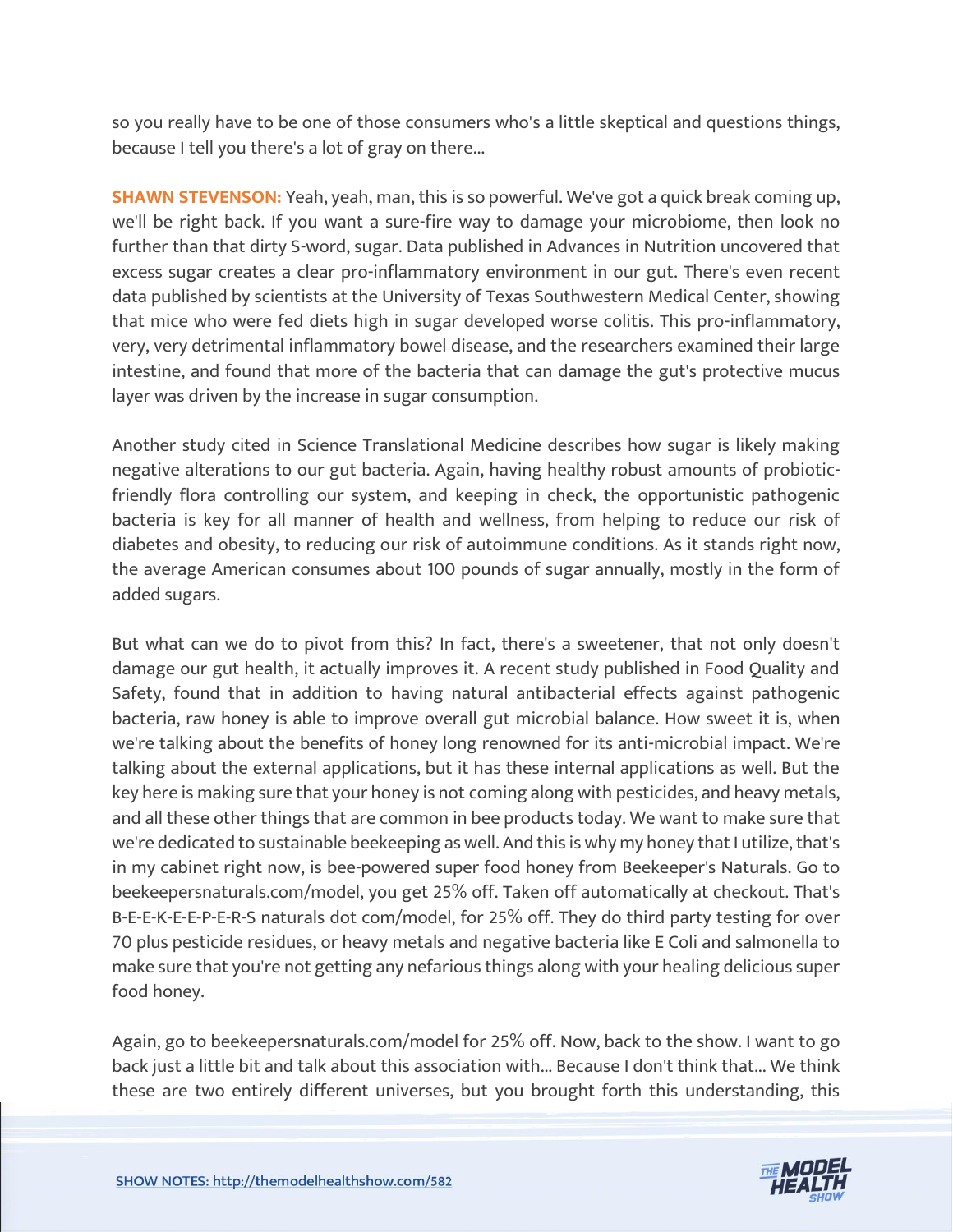so you really have to be one of those consumers who's a little skeptical and questions things, because I tell you there's a lot of gray on there...

**SHAWN STEVENSON:** Yeah, yeah, man, this is so powerful. We've got a quick break coming up, we'll be right back. If you want a sure-fire way to damage your microbiome, then look no further than that dirty S-word, sugar. Data published in Advances in Nutrition uncovered that excess sugar creates a clear pro-inflammatory environment in our gut. There's even recent data published by scientists at the University of Texas Southwestern Medical Center, showing that mice who were fed diets high in sugar developed worse colitis. This pro-inflammatory, very, very detrimental inflammatory bowel disease, and the researchers examined their large intestine, and found that more of the bacteria that can damage the gut's protective mucus layer was driven by the increase in sugar consumption.

Another study cited in Science Translational Medicine describes how sugar is likely making negative alterations to our gut bacteria. Again, having healthy robust amounts of probioticfriendly flora controlling our system, and keeping in check, the opportunistic pathogenic bacteria is key for all manner of health and wellness, from helping to reduce our risk of diabetes and obesity, to reducing our risk of autoimmune conditions. As it stands right now, the average American consumes about 100 pounds of sugar annually, mostly in the form of added sugars.

But what can we do to pivot from this? In fact, there's a sweetener, that not only doesn't damage our gut health, it actually improves it. A recent study published in Food Quality and Safety, found that in addition to having natural antibacterial effects against pathogenic bacteria, raw honey is able to improve overall gut microbial balance. How sweet it is, when we're talking about the benefits of honey long renowned for its anti-microbial impact. We're talking about the external applications, but it has these internal applications as well. But the key here is making sure that your honey is not coming along with pesticides, and heavy metals, and all these other things that are common in bee products today. We want to make sure that we're dedicated to sustainable beekeeping as well. And this is why my honey that I utilize, that's in my cabinet right now, is bee-powered super food honey from Beekeeper's Naturals. Go to beekeepersnaturals.com/model, you get 25% off. Taken off automatically at checkout. That's B-E-E-K-E-E-P-E-R-S naturals dot com/model, for 25% off. They do third party testing for over 70 plus pesticide residues, or heavy metals and negative bacteria like E Coli and salmonella to make sure that you're not getting any nefarious things along with your healing delicious super food honey.

Again, go to beekeepersnaturals.com/model for 25% off. Now, back to the show. I want to go back just a little bit and talk about this association with... Because I don't think that... We think these are two entirely different universes, but you brought forth this understanding, this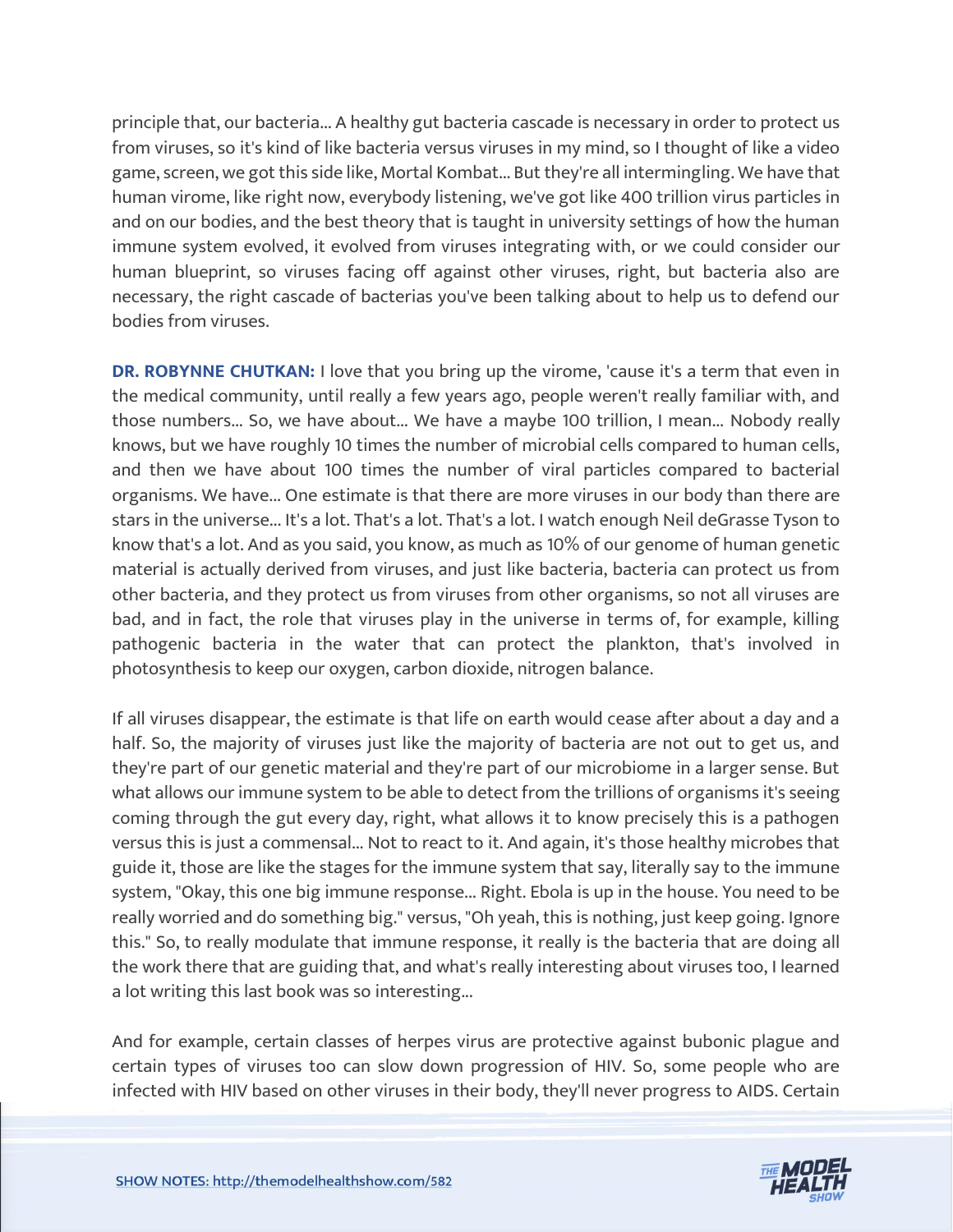principle that, our bacteria... A healthy gut bacteria cascade is necessary in order to protect us from viruses, so it's kind of like bacteria versus viruses in my mind, so I thought of like a video game, screen, we got this side like, Mortal Kombat... But they're all intermingling. We have that human virome, like right now, everybody listening, we've got like 400 trillion virus particles in and on our bodies, and the best theory that is taught in university settings of how the human immune system evolved, it evolved from viruses integrating with, or we could consider our human blueprint, so viruses facing off against other viruses, right, but bacteria also are necessary, the right cascade of bacterias you've been talking about to help us to defend our bodies from viruses.

**DR. ROBYNNE CHUTKAN: I** love that you bring up the virome, 'cause it's a term that even in the medical community, until really a few years ago, people weren't really familiar with, and those numbers... So, we have about... We have a maybe 100 trillion, I mean... Nobody really knows, but we have roughly 10 times the number of microbial cells compared to human cells, and then we have about 100 times the number of viral particles compared to bacterial organisms. We have... One estimate is that there are more viruses in our body than there are stars in the universe... It's a lot. That's a lot. That's a lot. I watch enough Neil deGrasse Tyson to know that's a lot. And as you said, you know, as much as 10% of our genome of human genetic material is actually derived from viruses, and just like bacteria, bacteria can protect us from other bacteria, and they protect us from viruses from other organisms, so not all viruses are bad, and in fact, the role that viruses play in the universe in terms of, for example, killing pathogenic bacteria in the water that can protect the plankton, that's involved in photosynthesis to keep our oxygen, carbon dioxide, nitrogen balance.

If all viruses disappear, the estimate is that life on earth would cease after about a day and a half. So, the majority of viruses just like the majority of bacteria are not out to get us, and they're part of our genetic material and they're part of our microbiome in a larger sense. But what allows our immune system to be able to detect from the trillions of organisms it's seeing coming through the gut every day, right, what allows it to know precisely this is a pathogen versus this is just a commensal... Not to react to it. And again, it's those healthy microbes that guide it, those are like the stages for the immune system that say, literally say to the immune system, "Okay, this one big immune response... Right. Ebola is up in the house. You need to be really worried and do something big." versus, "Oh yeah, this is nothing, just keep going. Ignore this." So, to really modulate that immune response, it really is the bacteria that are doing all the work there that are guiding that, and what's really interesting about viruses too, I learned a lot writing this last book was so interesting...

And for example, certain classes of herpes virus are protective against bubonic plague and certain types of viruses too can slow down progression of HIV. So, some people who are infected with HIV based on other viruses in their body, they'll never progress to AIDS. Certain

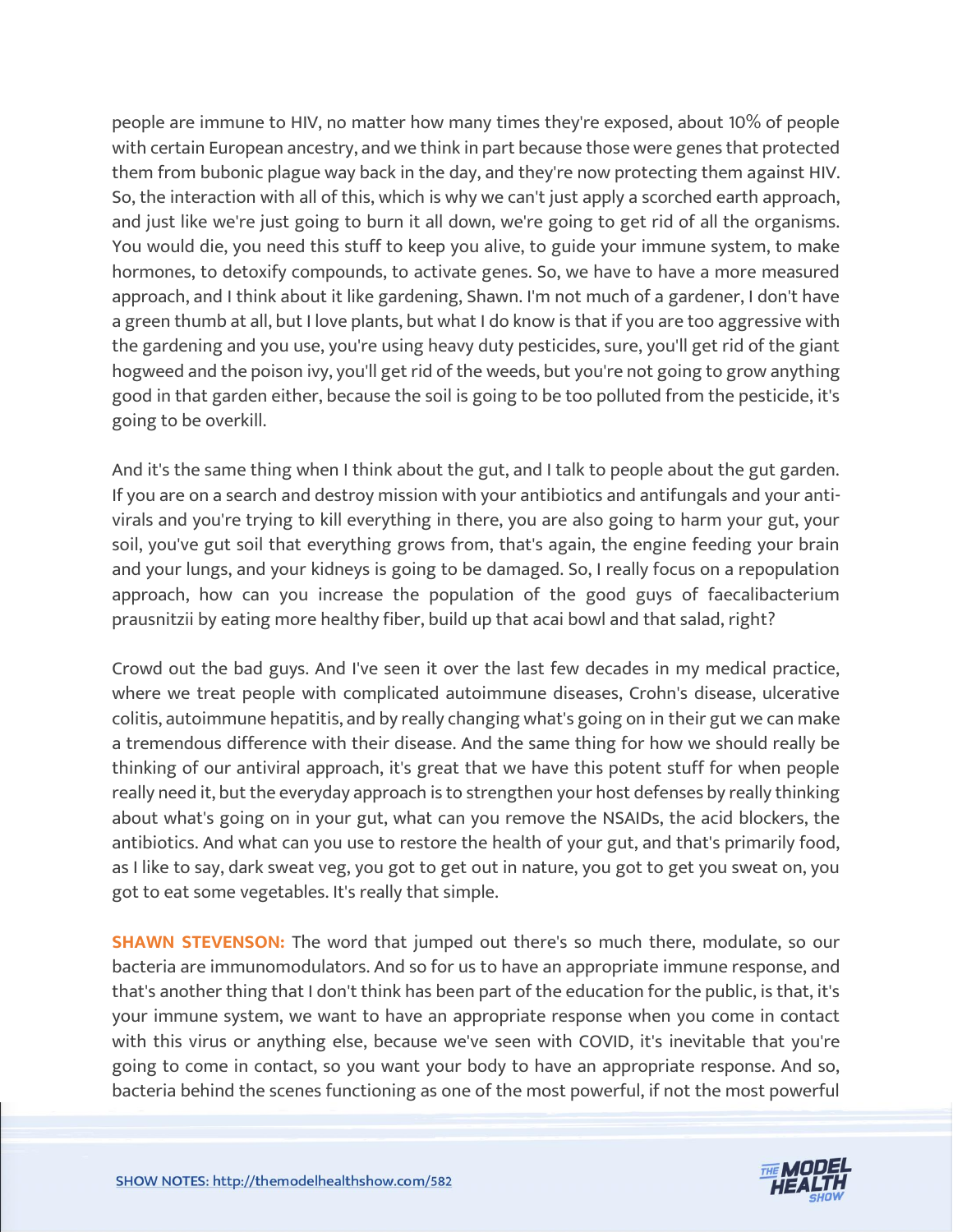people are immune to HIV, no matter how many times they're exposed, about 10% of people with certain European ancestry, and we think in part because those were genes that protected them from bubonic plague way back in the day, and they're now protecting them against HIV. So, the interaction with all of this, which is why we can't just apply a scorched earth approach, and just like we're just going to burn it all down, we're going to get rid of all the organisms. You would die, you need this stuff to keep you alive, to guide your immune system, to make hormones, to detoxify compounds, to activate genes. So, we have to have a more measured approach, and I think about it like gardening, Shawn. I'm not much of a gardener, I don't have a green thumb at all, but I love plants, but what I do know is that if you are too aggressive with the gardening and you use, you're using heavy duty pesticides, sure, you'll get rid of the giant hogweed and the poison ivy, you'll get rid of the weeds, but you're not going to grow anything good in that garden either, because the soil is going to be too polluted from the pesticide, it's going to be overkill.

And it's the same thing when I think about the gut, and I talk to people about the gut garden. If you are on a search and destroy mission with your antibiotics and antifungals and your antivirals and you're trying to kill everything in there, you are also going to harm your gut, your soil, you've gut soil that everything grows from, that's again, the engine feeding your brain and your lungs, and your kidneys is going to be damaged. So, I really focus on a repopulation approach, how can you increase the population of the good guys of faecalibacterium prausnitzii by eating more healthy fiber, build up that acai bowl and that salad, right?

Crowd out the bad guys. And I've seen it over the last few decades in my medical practice, where we treat people with complicated autoimmune diseases, Crohn's disease, ulcerative colitis, autoimmune hepatitis, and by really changing what's going on in their gut we can make a tremendous difference with their disease. And the same thing for how we should really be thinking of our antiviral approach, it's great that we have this potent stuff for when people really need it, but the everyday approach is to strengthen your host defenses by really thinking about what's going on in your gut, what can you remove the NSAIDs, the acid blockers, the antibiotics. And what can you use to restore the health of your gut, and that's primarily food, as I like to say, dark sweat veg, you got to get out in nature, you got to get you sweat on, you got to eat some vegetables. It's really that simple.

**SHAWN STEVENSON:** The word that jumped out there's so much there, modulate, so our bacteria are immunomodulators. And so for us to have an appropriate immune response, and that's another thing that I don't think has been part of the education for the public, is that, it's your immune system, we want to have an appropriate response when you come in contact with this virus or anything else, because we've seen with COVID, it's inevitable that you're going to come in contact, so you want your body to have an appropriate response. And so, bacteria behind the scenes functioning as one of the most powerful, if not the most powerful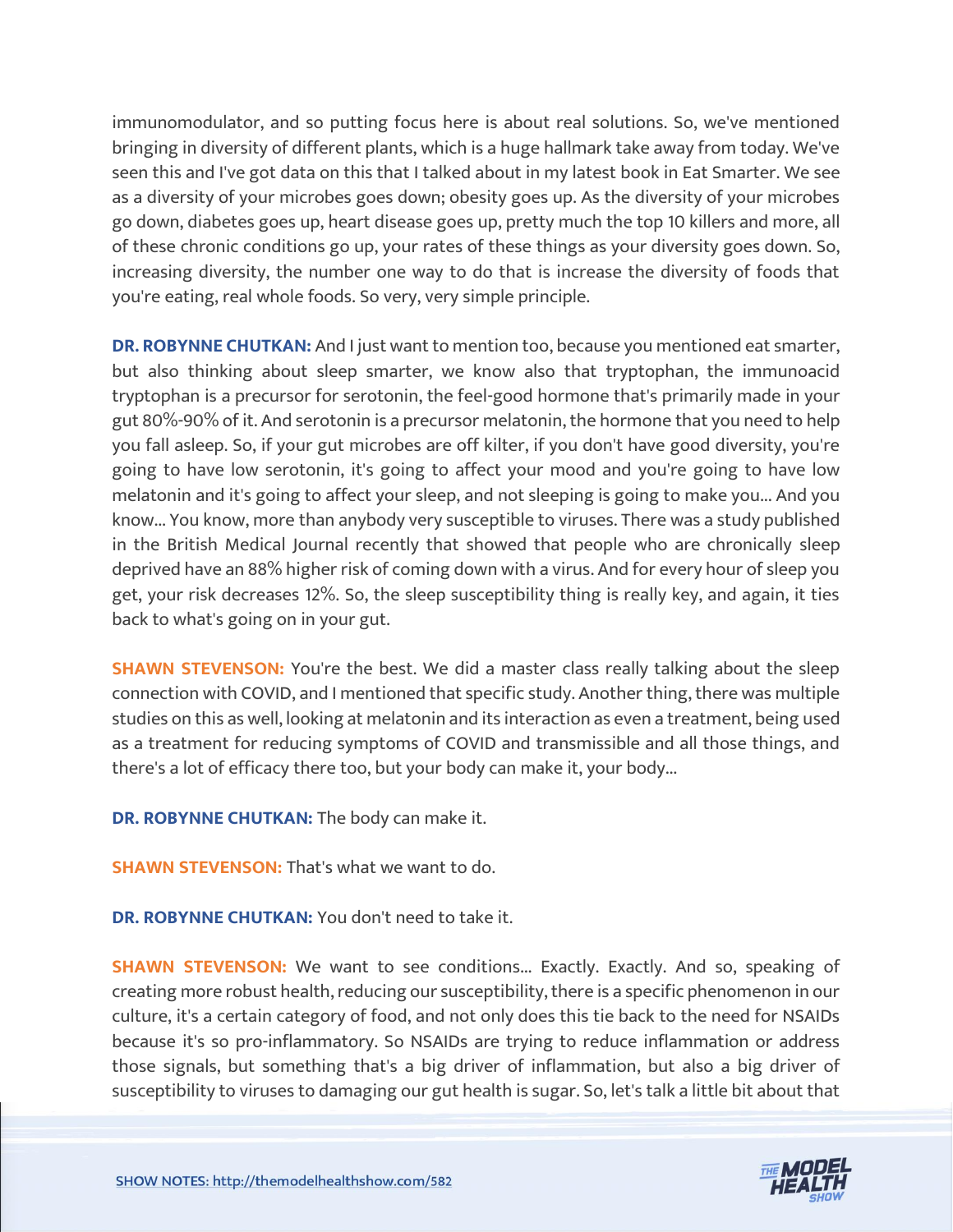immunomodulator, and so putting focus here is about real solutions. So, we've mentioned bringing in diversity of different plants, which is a huge hallmark take away from today. We've seen this and I've got data on this that I talked about in my latest book in Eat Smarter. We see as a diversity of your microbes goes down; obesity goes up. As the diversity of your microbes go down, diabetes goes up, heart disease goes up, pretty much the top 10 killers and more, all of these chronic conditions go up, your rates of these things as your diversity goes down. So, increasing diversity, the number one way to do that is increase the diversity of foods that you're eating, real whole foods. So very, very simple principle.

**DR. ROBYNNE CHUTKAN:** And I just want to mention too, because you mentioned eat smarter, but also thinking about sleep smarter, we know also that tryptophan, the immunoacid tryptophan is a precursor for serotonin, the feel-good hormone that's primarily made in your gut 80%-90% of it. And serotonin is a precursor melatonin, the hormone that you need to help you fall asleep. So, if your gut microbes are off kilter, if you don't have good diversity, you're going to have low serotonin, it's going to affect your mood and you're going to have low melatonin and it's going to affect your sleep, and not sleeping is going to make you... And you know... You know, more than anybody very susceptible to viruses. There was a study published in the British Medical Journal recently that showed that people who are chronically sleep deprived have an 88% higher risk of coming down with a virus. And for every hour of sleep you get, your risk decreases 12%. So, the sleep susceptibility thing is really key, and again, it ties back to what's going on in your gut.

**SHAWN STEVENSON:** You're the best. We did a master class really talking about the sleep connection with COVID, and I mentioned that specific study. Another thing, there was multiple studies on this as well, looking at melatonin and its interaction as even a treatment, being used as a treatment for reducing symptoms of COVID and transmissible and all those things, and there's a lot of efficacy there too, but your body can make it, your body...

**DR. ROBYNNE CHUTKAN:** The body can make it.

**SHAWN STEVENSON: That's what we want to do.** 

**DR. ROBYNNE CHUTKAN:** You don't need to take it.

**SHAWN STEVENSON:** We want to see conditions... Exactly. Exactly. And so, speaking of creating more robust health, reducing our susceptibility, there is a specific phenomenon in our culture, it's a certain category of food, and not only does this tie back to the need for NSAIDs because it's so pro-inflammatory. So NSAIDs are trying to reduce inflammation or address those signals, but something that's a big driver of inflammation, but also a big driver of susceptibility to viruses to damaging our gut health is sugar. So, let's talk a little bit about that

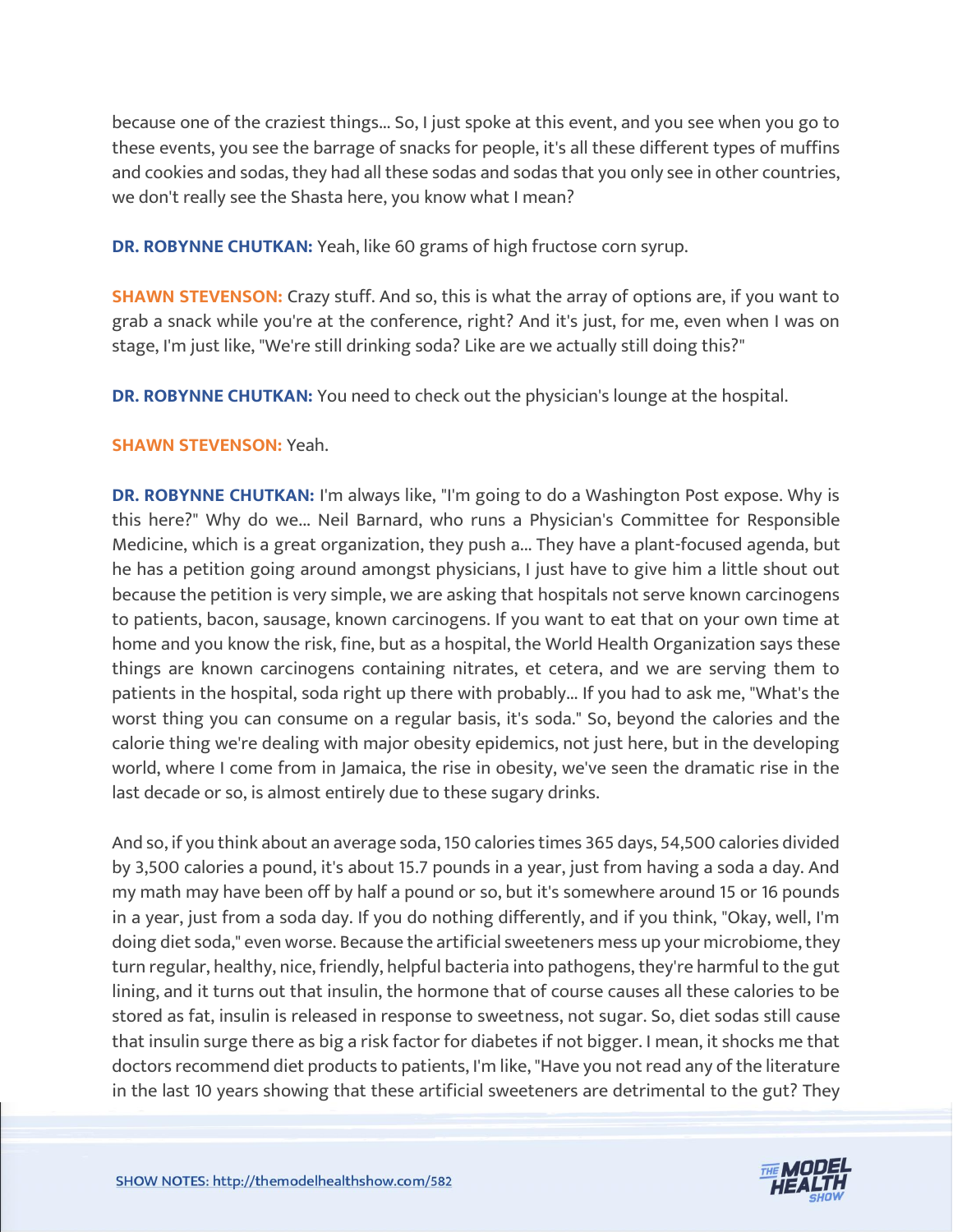because one of the craziest things... So, I just spoke at this event, and you see when you go to these events, you see the barrage of snacks for people, it's all these different types of muffins and cookies and sodas, they had all these sodas and sodas that you only see in other countries, we don't really see the Shasta here, you know what I mean?

**DR. ROBYNNE CHUTKAN:** Yeah, like 60 grams of high fructose corn syrup.

**SHAWN STEVENSON:** Crazy stuff. And so, this is what the array of options are, if you want to grab a snack while you're at the conference, right? And it's just, for me, even when I was on stage, I'm just like, "We're still drinking soda? Like are we actually still doing this?"

**DR. ROBYNNE CHUTKAN:** You need to check out the physician's lounge at the hospital.

#### **SHAWN STEVENSON:** Yeah.

**DR. ROBYNNE CHUTKAN:** I'm always like, "I'm going to do a Washington Post expose. Why is this here?" Why do we... Neil Barnard, who runs a Physician's Committee for Responsible Medicine, which is a great organization, they push a... They have a plant-focused agenda, but he has a petition going around amongst physicians, I just have to give him a little shout out because the petition is very simple, we are asking that hospitals not serve known carcinogens to patients, bacon, sausage, known carcinogens. If you want to eat that on your own time at home and you know the risk, fine, but as a hospital, the World Health Organization says these things are known carcinogens containing nitrates, et cetera, and we are serving them to patients in the hospital, soda right up there with probably... If you had to ask me, "What's the worst thing you can consume on a regular basis, it's soda." So, beyond the calories and the calorie thing we're dealing with major obesity epidemics, not just here, but in the developing world, where I come from in Jamaica, the rise in obesity, we've seen the dramatic rise in the last decade or so, is almost entirely due to these sugary drinks.

And so, if you think about an average soda, 150 calories times 365 days, 54,500 calories divided by 3,500 calories a pound, it's about 15.7 pounds in a year, just from having a soda a day. And my math may have been off by half a pound or so, but it's somewhere around 15 or 16 pounds in a year, just from a soda day. If you do nothing differently, and if you think, "Okay, well, I'm doing diet soda," even worse. Because the artificial sweeteners mess up your microbiome, they turn regular, healthy, nice, friendly, helpful bacteria into pathogens, they're harmful to the gut lining, and it turns out that insulin, the hormone that of course causes all these calories to be stored as fat, insulin is released in response to sweetness, not sugar. So, diet sodas still cause that insulin surge there as big a risk factor for diabetes if not bigger. I mean, it shocks me that doctors recommend diet products to patients, I'm like, "Have you not read any of the literature in the last 10 years showing that these artificial sweeteners are detrimental to the gut? They

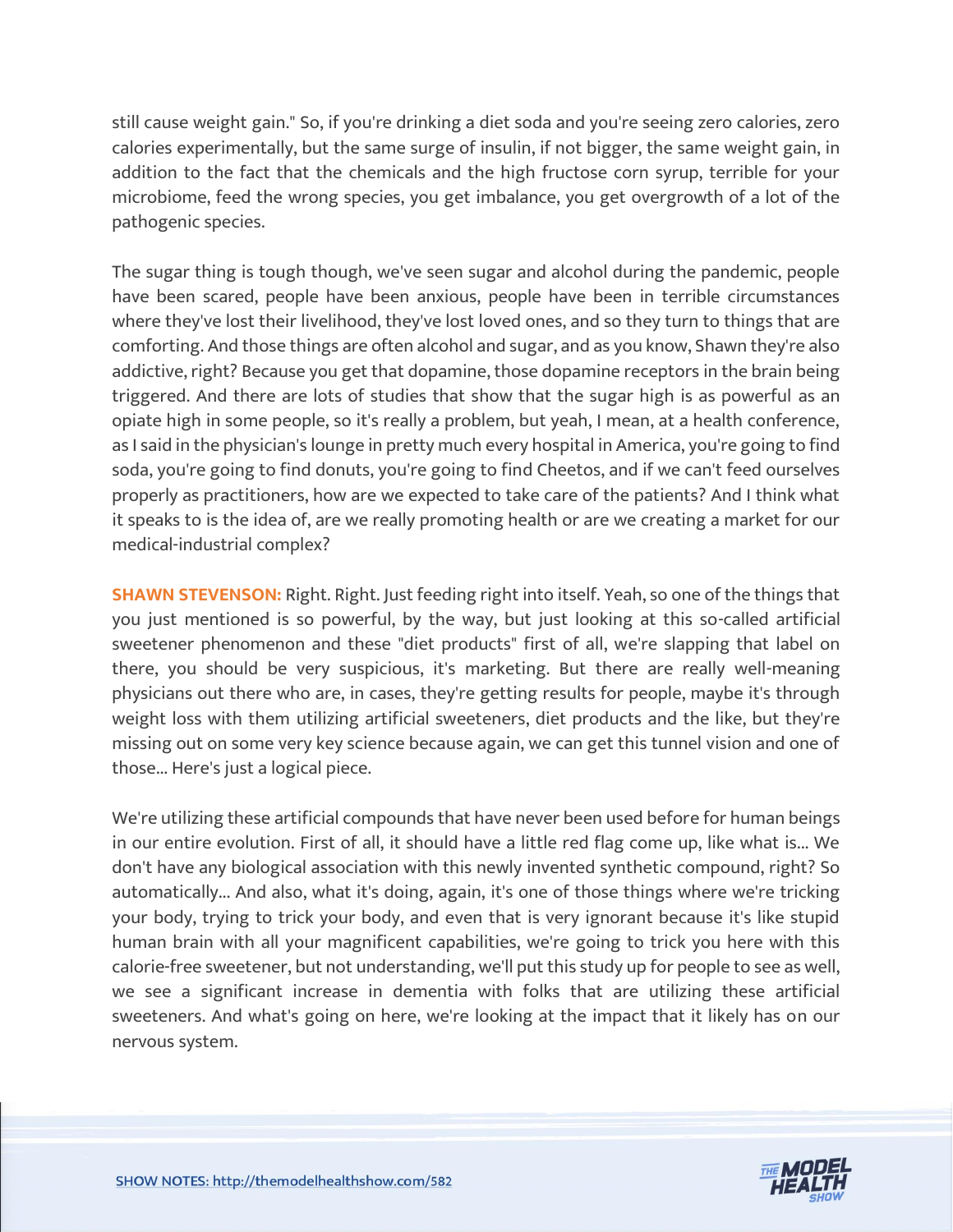still cause weight gain." So, if you're drinking a diet soda and you're seeing zero calories, zero calories experimentally, but the same surge of insulin, if not bigger, the same weight gain, in addition to the fact that the chemicals and the high fructose corn syrup, terrible for your microbiome, feed the wrong species, you get imbalance, you get overgrowth of a lot of the pathogenic species.

The sugar thing is tough though, we've seen sugar and alcohol during the pandemic, people have been scared, people have been anxious, people have been in terrible circumstances where they've lost their livelihood, they've lost loved ones, and so they turn to things that are comforting. And those things are often alcohol and sugar, and as you know, Shawn they're also addictive, right? Because you get that dopamine, those dopamine receptors in the brain being triggered. And there are lots of studies that show that the sugar high is as powerful as an opiate high in some people, so it's really a problem, but yeah, I mean, at a health conference, as I said in the physician's lounge in pretty much every hospital in America, you're going to find soda, you're going to find donuts, you're going to find Cheetos, and if we can't feed ourselves properly as practitioners, how are we expected to take care of the patients? And I think what it speaks to is the idea of, are we really promoting health or are we creating a market for our medical-industrial complex?

**SHAWN STEVENSON:** Right. Right. Just feeding right into itself. Yeah, so one of the things that you just mentioned is so powerful, by the way, but just looking at this so-called artificial sweetener phenomenon and these "diet products" first of all, we're slapping that label on there, you should be very suspicious, it's marketing. But there are really well-meaning physicians out there who are, in cases, they're getting results for people, maybe it's through weight loss with them utilizing artificial sweeteners, diet products and the like, but they're missing out on some very key science because again, we can get this tunnel vision and one of those... Here's just a logical piece.

We're utilizing these artificial compounds that have never been used before for human beings in our entire evolution. First of all, it should have a little red flag come up, like what is... We don't have any biological association with this newly invented synthetic compound, right? So automatically... And also, what it's doing, again, it's one of those things where we're tricking your body, trying to trick your body, and even that is very ignorant because it's like stupid human brain with all your magnificent capabilities, we're going to trick you here with this calorie-free sweetener, but not understanding, we'll put this study up for people to see as well, we see a significant increase in dementia with folks that are utilizing these artificial sweeteners. And what's going on here, we're looking at the impact that it likely has on our nervous system.

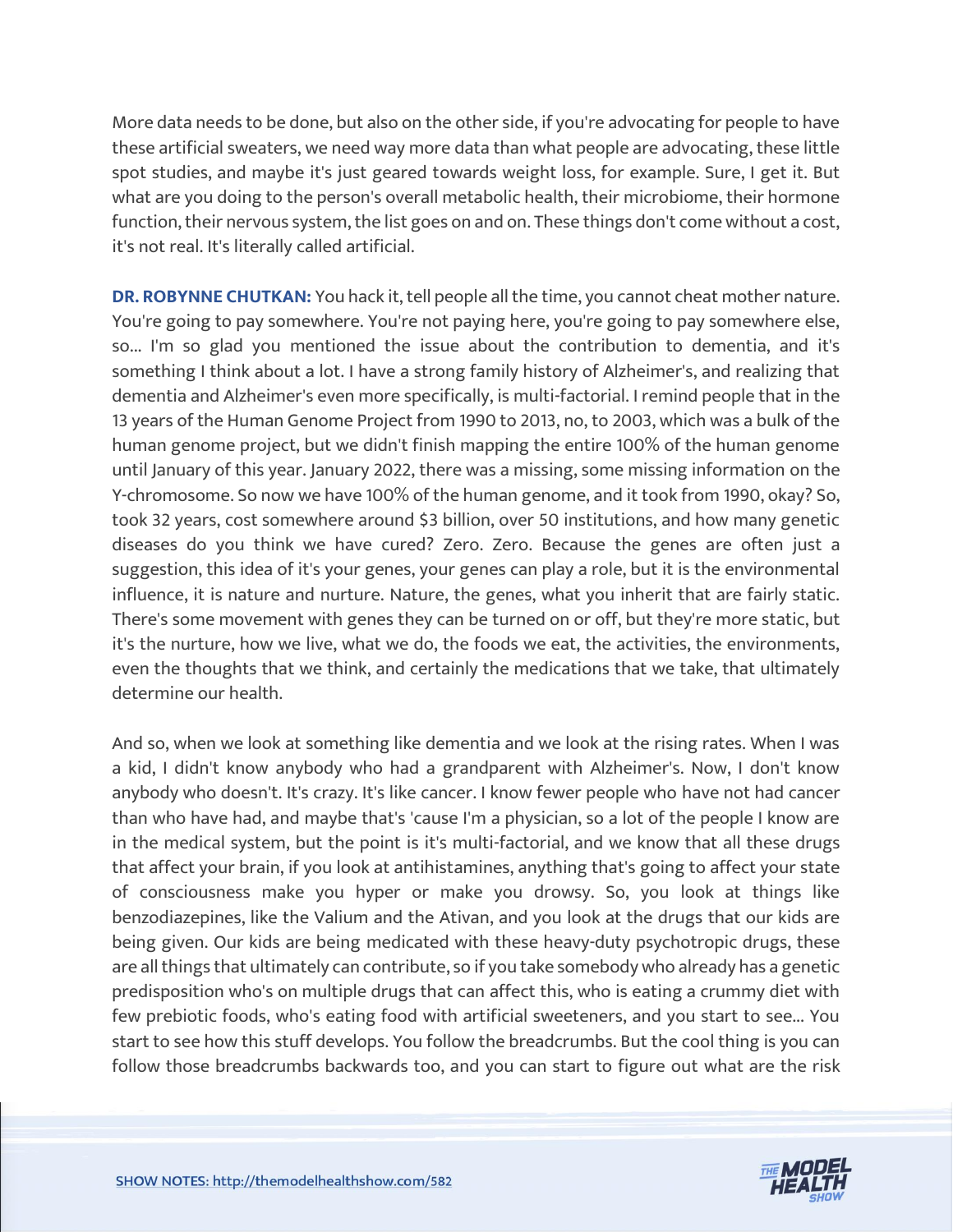More data needs to be done, but also on the other side, if you're advocating for people to have these artificial sweaters, we need way more data than what people are advocating, these little spot studies, and maybe it's just geared towards weight loss, for example. Sure, I get it. But what are you doing to the person's overall metabolic health, their microbiome, their hormone function, their nervous system, the list goes on and on. These things don't come without a cost, it's not real. It's literally called artificial.

**DR. ROBYNNE CHUTKAN:** You hack it, tell people all the time, you cannot cheat mother nature. You're going to pay somewhere. You're not paying here, you're going to pay somewhere else, so... I'm so glad you mentioned the issue about the contribution to dementia, and it's something I think about a lot. I have a strong family history of Alzheimer's, and realizing that dementia and Alzheimer's even more specifically, is multi-factorial. I remind people that in the 13 years of the Human Genome Project from 1990 to 2013, no, to 2003, which was a bulk of the human genome project, but we didn't finish mapping the entire 100% of the human genome until January of this year. January 2022, there was a missing, some missing information on the Y-chromosome. So now we have 100% of the human genome, and it took from 1990, okay? So, took 32 years, cost somewhere around \$3 billion, over 50 institutions, and how many genetic diseases do you think we have cured? Zero. Zero. Because the genes are often just a suggestion, this idea of it's your genes, your genes can play a role, but it is the environmental influence, it is nature and nurture. Nature, the genes, what you inherit that are fairly static. There's some movement with genes they can be turned on or off, but they're more static, but it's the nurture, how we live, what we do, the foods we eat, the activities, the environments, even the thoughts that we think, and certainly the medications that we take, that ultimately determine our health.

And so, when we look at something like dementia and we look at the rising rates. When I was a kid, I didn't know anybody who had a grandparent with Alzheimer's. Now, I don't know anybody who doesn't. It's crazy. It's like cancer. I know fewer people who have not had cancer than who have had, and maybe that's 'cause I'm a physician, so a lot of the people I know are in the medical system, but the point is it's multi-factorial, and we know that all these drugs that affect your brain, if you look at antihistamines, anything that's going to affect your state of consciousness make you hyper or make you drowsy. So, you look at things like benzodiazepines, like the Valium and the Ativan, and you look at the drugs that our kids are being given. Our kids are being medicated with these heavy-duty psychotropic drugs, these are all things that ultimately can contribute, so if you take somebody who already has a genetic predisposition who's on multiple drugs that can affect this, who is eating a crummy diet with few prebiotic foods, who's eating food with artificial sweeteners, and you start to see... You start to see how this stuff develops. You follow the breadcrumbs. But the cool thing is you can follow those breadcrumbs backwards too, and you can start to figure out what are the risk

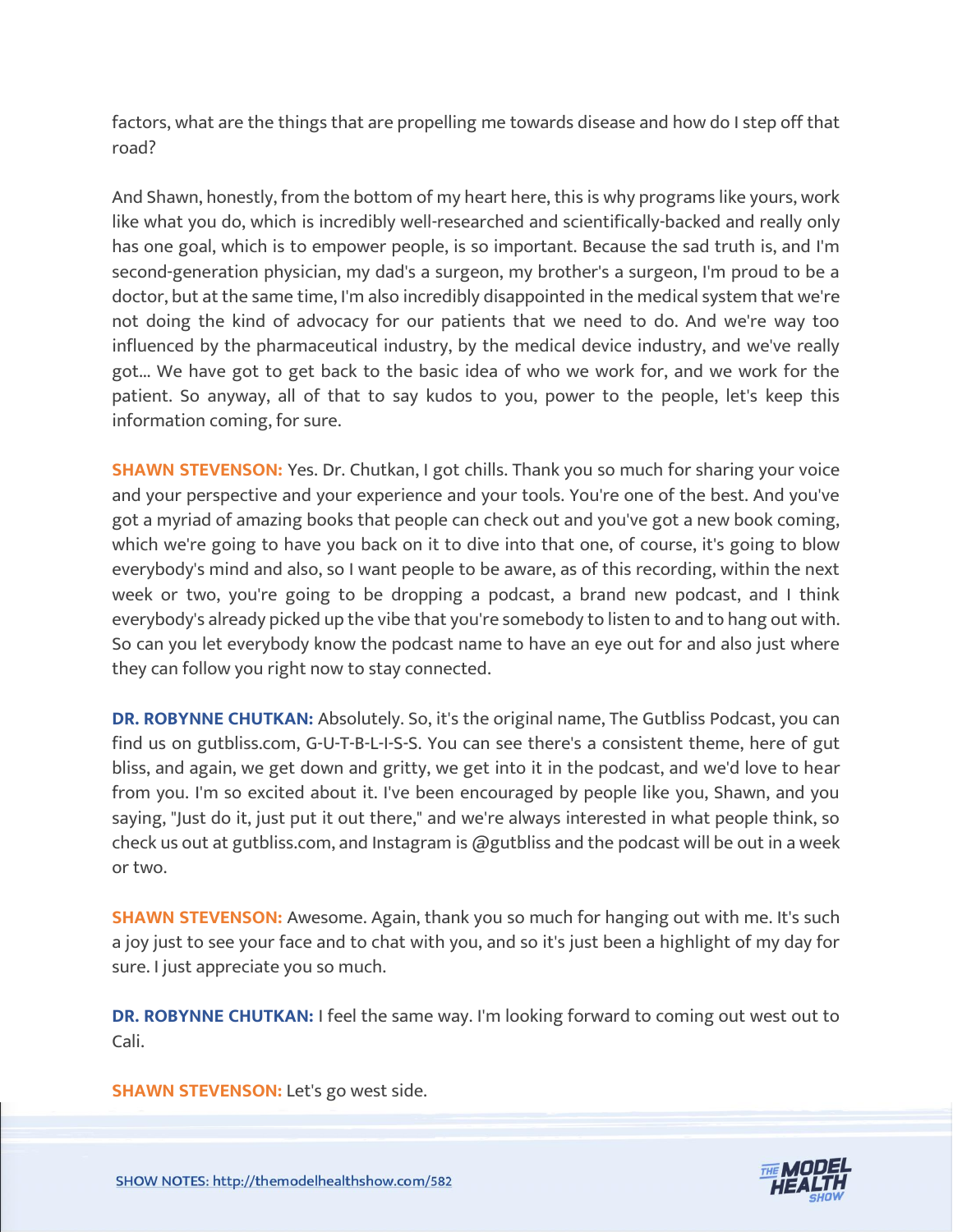factors, what are the things that are propelling me towards disease and how do I step off that road?

And Shawn, honestly, from the bottom of my heart here, this is why programs like yours, work like what you do, which is incredibly well-researched and scientifically-backed and really only has one goal, which is to empower people, is so important. Because the sad truth is, and I'm second-generation physician, my dad's a surgeon, my brother's a surgeon, I'm proud to be a doctor, but at the same time, I'm also incredibly disappointed in the medical system that we're not doing the kind of advocacy for our patients that we need to do. And we're way too influenced by the pharmaceutical industry, by the medical device industry, and we've really got... We have got to get back to the basic idea of who we work for, and we work for the patient. So anyway, all of that to say kudos to you, power to the people, let's keep this information coming, for sure.

**SHAWN STEVENSON:** Yes. Dr. Chutkan, I got chills. Thank you so much for sharing your voice and your perspective and your experience and your tools. You're one of the best. And you've got a myriad of amazing books that people can check out and you've got a new book coming, which we're going to have you back on it to dive into that one, of course, it's going to blow everybody's mind and also, so I want people to be aware, as of this recording, within the next week or two, you're going to be dropping a podcast, a brand new podcast, and I think everybody's already picked up the vibe that you're somebody to listen to and to hang out with. So can you let everybody know the podcast name to have an eye out for and also just where they can follow you right now to stay connected.

**DR. ROBYNNE CHUTKAN:** Absolutely. So, it's the original name, The Gutbliss Podcast, you can find us on gutbliss.com, G-U-T-B-L-I-S-S. You can see there's a consistent theme, here of gut bliss, and again, we get down and gritty, we get into it in the podcast, and we'd love to hear from you. I'm so excited about it. I've been encouraged by people like you, Shawn, and you saying, "Just do it, just put it out there," and we're always interested in what people think, so check us out at gutbliss.com, and Instagram is @gutbliss and the podcast will be out in a week or two.

**SHAWN STEVENSON:** Awesome. Again, thank you so much for hanging out with me. It's such a joy just to see your face and to chat with you, and so it's just been a highlight of my day for sure. I just appreciate you so much.

**DR. ROBYNNE CHUTKAN:** I feel the same way. I'm looking forward to coming out west out to Cali.

**SHAWN STEVENSON:** Let's go west side.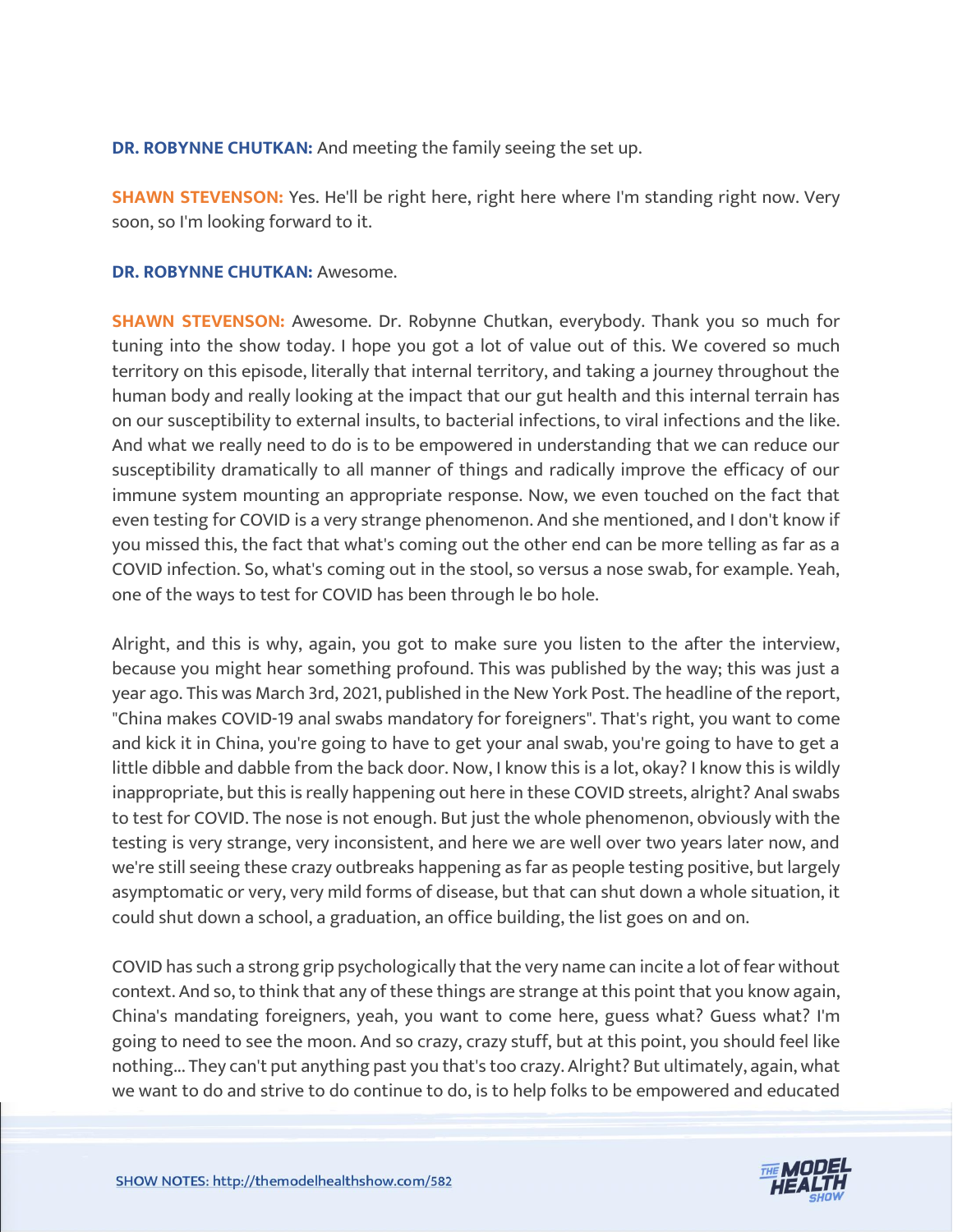**DR. ROBYNNE CHUTKAN:** And meeting the family seeing the set up.

**SHAWN STEVENSON:** Yes. He'll be right here, right here where I'm standing right now. Very soon, so I'm looking forward to it.

#### **DR. ROBYNNE CHUTKAN:** Awesome.

**SHAWN STEVENSON:** Awesome. Dr. Robynne Chutkan, everybody. Thank you so much for tuning into the show today. I hope you got a lot of value out of this. We covered so much territory on this episode, literally that internal territory, and taking a journey throughout the human body and really looking at the impact that our gut health and this internal terrain has on our susceptibility to external insults, to bacterial infections, to viral infections and the like. And what we really need to do is to be empowered in understanding that we can reduce our susceptibility dramatically to all manner of things and radically improve the efficacy of our immune system mounting an appropriate response. Now, we even touched on the fact that even testing for COVID is a very strange phenomenon. And she mentioned, and I don't know if you missed this, the fact that what's coming out the other end can be more telling as far as a COVID infection. So, what's coming out in the stool, so versus a nose swab, for example. Yeah, one of the ways to test for COVID has been through le bo hole.

Alright, and this is why, again, you got to make sure you listen to the after the interview, because you might hear something profound. This was published by the way; this was just a year ago. This was March 3rd, 2021, published in the New York Post. The headline of the report, "China makes COVID-19 anal swabs mandatory for foreigners". That's right, you want to come and kick it in China, you're going to have to get your anal swab, you're going to have to get a little dibble and dabble from the back door. Now, I know this is a lot, okay? I know this is wildly inappropriate, but this is really happening out here in these COVID streets, alright? Anal swabs to test for COVID. The nose is not enough. But just the whole phenomenon, obviously with the testing is very strange, very inconsistent, and here we are well over two years later now, and we're still seeing these crazy outbreaks happening as far as people testing positive, but largely asymptomatic or very, very mild forms of disease, but that can shut down a whole situation, it could shut down a school, a graduation, an office building, the list goes on and on.

COVID has such a strong grip psychologically that the very name can incite a lot of fear without context. And so, to think that any of these things are strange at this point that you know again, China's mandating foreigners, yeah, you want to come here, guess what? Guess what? I'm going to need to see the moon. And so crazy, crazy stuff, but at this point, you should feel like nothing... They can't put anything past you that's too crazy. Alright? But ultimately, again, what we want to do and strive to do continue to do, is to help folks to be empowered and educated